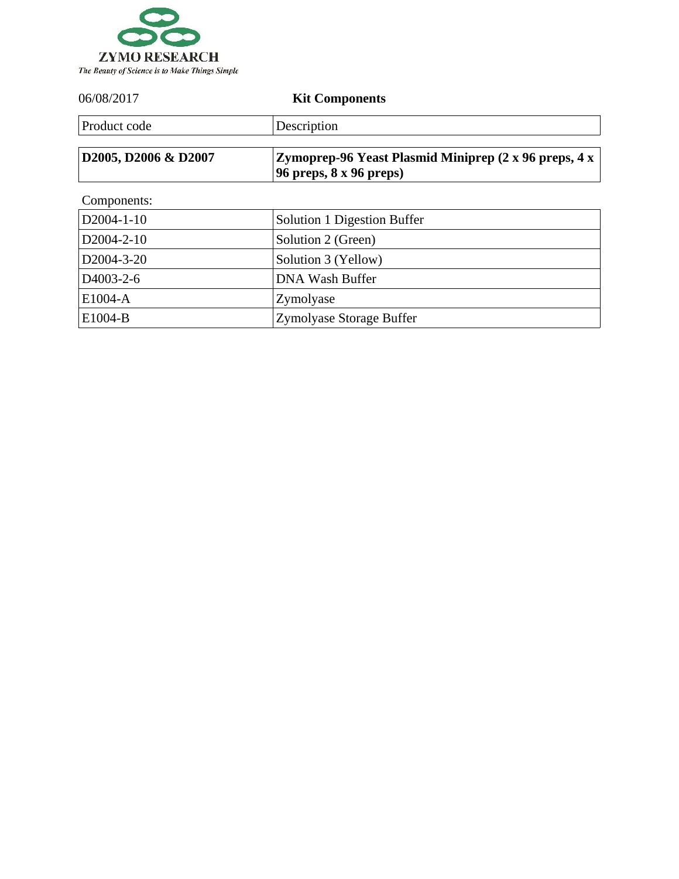

| 06/08/2017              | <b>Kit Components</b>                                                            |
|-------------------------|----------------------------------------------------------------------------------|
| Product code            | Description                                                                      |
| D2005, D2006 & D2007    | Zymoprep-96 Yeast Plasmid Miniprep (2 x 96 preps, 4 x<br>96 preps, 8 x 96 preps) |
| Components:             |                                                                                  |
| D <sub>2004</sub> -1-10 | Solution 1 Digestion Buffer                                                      |
| $ D2004-2-10 $          | Solution 2 (Green)                                                               |

| DZUV4-Z-IV | SOIULION $\angle$ (Green) |
|------------|---------------------------|
| D2004-3-20 | Solution 3 (Yellow)       |
| D4003-2-6  | DNA Wash Buffer           |
| E1004-A    | <b>Zymolyase</b>          |
| E1004-B    | Zymolyase Storage Buffer  |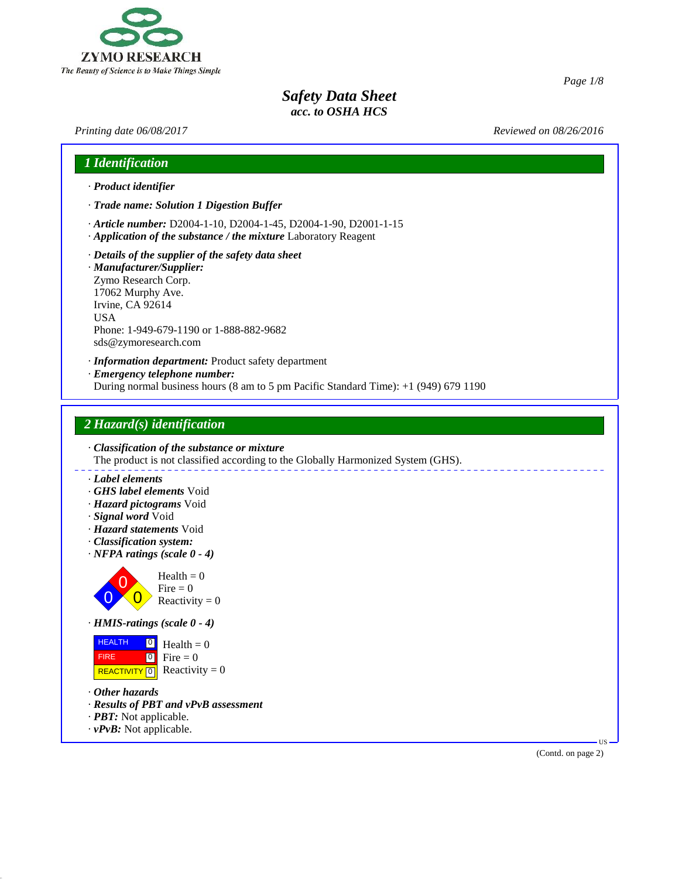

*Printing date 06/08/2017 Reviewed on 08/26/2016*

44.0

| 1 Identification                                                                                                                                                                                                                |  |
|---------------------------------------------------------------------------------------------------------------------------------------------------------------------------------------------------------------------------------|--|
|                                                                                                                                                                                                                                 |  |
| · Product identifier                                                                                                                                                                                                            |  |
| · Trade name: Solution 1 Digestion Buffer                                                                                                                                                                                       |  |
| · Article number: D2004-1-10, D2004-1-45, D2004-1-90, D2001-1-15<br>· Application of the substance / the mixture Laboratory Reagent                                                                                             |  |
| · Details of the supplier of the safety data sheet<br>· Manufacturer/Supplier:<br>Zymo Research Corp.<br>17062 Murphy Ave.<br>Irvine, CA 92614<br><b>USA</b><br>Phone: 1-949-679-1190 or 1-888-882-9682<br>sds@zymoresearch.com |  |
| · Information department: Product safety department<br>· Emergency telephone number:<br>During normal business hours (8 am to 5 pm Pacific Standard Time): +1 (949) 679 1190                                                    |  |
| · Label elements<br>· GHS label elements Void                                                                                                                                                                                   |  |
| · Hazard pictograms Void<br>· Signal word Void<br>· Hazard statements Void                                                                                                                                                      |  |
| · Classification system:<br>$\cdot$ NFPA ratings (scale 0 - 4)                                                                                                                                                                  |  |
| $Health = 0$<br>Fire $= 0$<br>Reactivity = $0$                                                                                                                                                                                  |  |
| $\cdot$ HMIS-ratings (scale 0 - 4)                                                                                                                                                                                              |  |
| <b>HEALTH</b><br>$\vert 0 \vert$<br>$Health = 0$<br>Fire $= 0$<br>$\boxed{0}$<br><b>FIRE</b><br>Reactivity = $0$<br><b>REACTIVITY</b> 0                                                                                         |  |

*Page 1/8*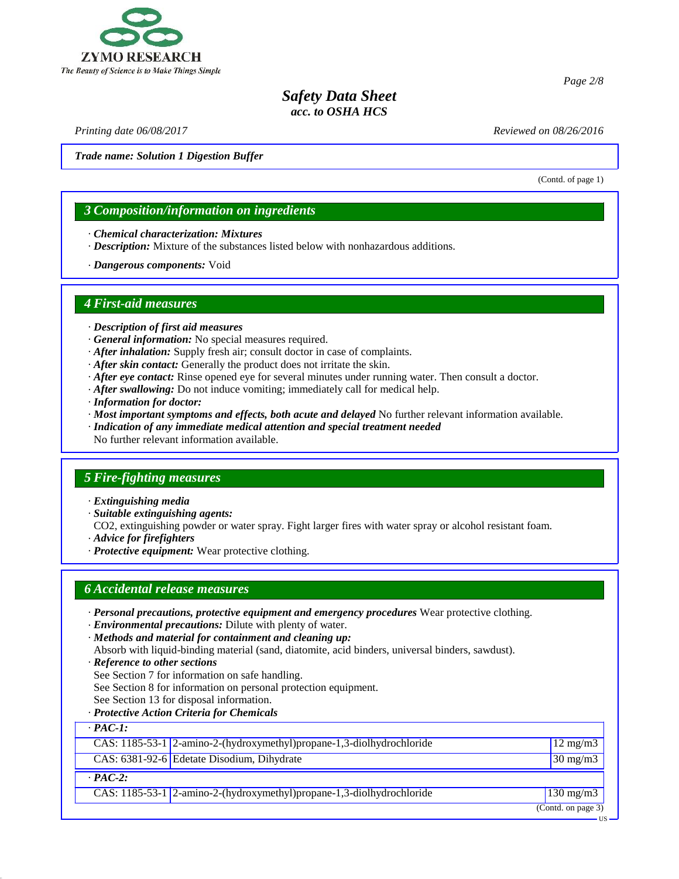

*Printing date 06/08/2017 Reviewed on 08/26/2016*

*Trade name: Solution 1 Digestion Buffer*

(Contd. of page 1)

*Page 2/8*

### *3 Composition/information on ingredients*

- · *Chemical characterization: Mixtures*
- · *Description:* Mixture of the substances listed below with nonhazardous additions.
- · *Dangerous components:* Void

#### *4 First-aid measures*

- · *Description of first aid measures*
- · *General information:* No special measures required.
- · *After inhalation:* Supply fresh air; consult doctor in case of complaints.
- · *After skin contact:* Generally the product does not irritate the skin.
- · *After eye contact:* Rinse opened eye for several minutes under running water. Then consult a doctor.
- · *After swallowing:* Do not induce vomiting; immediately call for medical help.
- · *Information for doctor:*
- · *Most important symptoms and effects, both acute and delayed* No further relevant information available.
- · *Indication of any immediate medical attention and special treatment needed*
- No further relevant information available.

### *5 Fire-fighting measures*

- · *Extinguishing media*
- · *Suitable extinguishing agents:*
- CO2, extinguishing powder or water spray. Fight larger fires with water spray or alcohol resistant foam.
- · *Advice for firefighters*
- · *Protective equipment:* Wear protective clothing.

### *6 Accidental release measures*

- · *Personal precautions, protective equipment and emergency procedures* Wear protective clothing.
- · *Environmental precautions:* Dilute with plenty of water.
- · *Methods and material for containment and cleaning up:*
- Absorb with liquid-binding material (sand, diatomite, acid binders, universal binders, sawdust).
- · *Reference to other sections*

44.0

- See Section 7 for information on safe handling.
- See Section 8 for information on personal protection equipment.
- See Section 13 for disposal information.
- · *Protective Action Criteria for Chemicals*

| $\cdot$ PAC-1:                                                        |                    |
|-----------------------------------------------------------------------|--------------------|
| CAS: 1185-53-1 2-amino-2-(hydroxymethyl)propane-1,3-diolhydrochloride | $12 \text{ mg/m}$  |
| CAS: 6381-92-6 Edetate Disodium, Dihydrate                            | $30 \text{ mg/m}$  |
| $\cdot$ PAC-2:                                                        |                    |
|                                                                       |                    |
| CAS: 1185-53-1 2-amino-2-(hydroxymethyl)propane-1,3-diolhydrochloride | $130 \text{ mg/m}$ |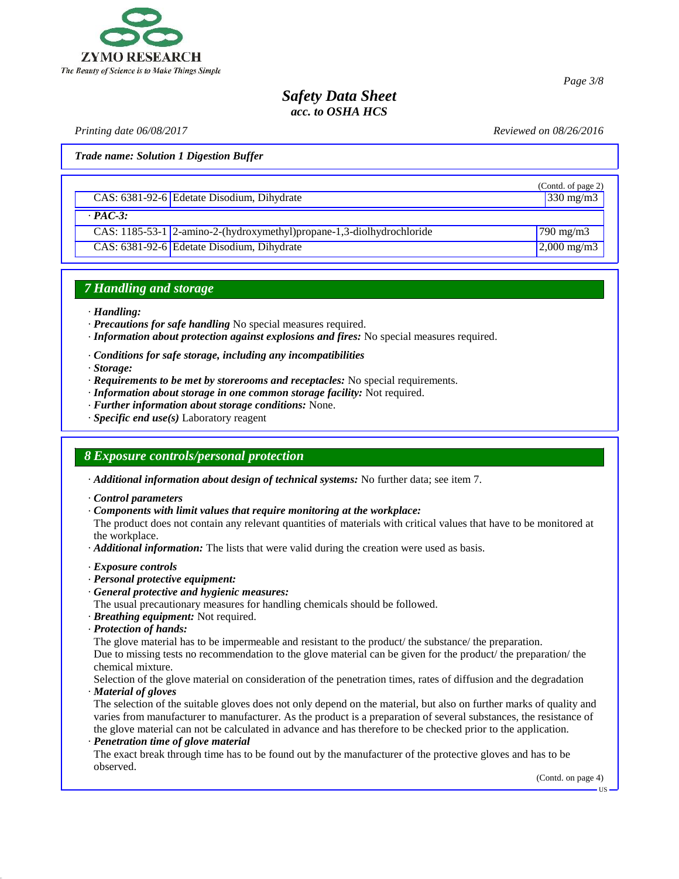

*Printing date 06/08/2017 Reviewed on 08/26/2016*

*Trade name: Solution 1 Digestion Buffer*

|          | CAS: 6381-92-6 Edetate Disodium, Dihydrate                            | (Contd. of page 2)<br>$330 \text{ mg/m}$ |  |
|----------|-----------------------------------------------------------------------|------------------------------------------|--|
| $-PAC-3$ |                                                                       |                                          |  |
|          | CAS: 1185-53-1 2-amino-2-(hydroxymethyl)propane-1,3-diolhydrochloride | $790 \text{ mg/m}$                       |  |
|          | CAS: 6381-92-6 Edetate Disodium, Dihydrate                            | $2,000 \text{ mg/m}$                     |  |

### *7 Handling and storage*

- · *Handling:*
- · *Precautions for safe handling* No special measures required.
- · *Information about protection against explosions and fires:* No special measures required.
- · *Conditions for safe storage, including any incompatibilities*
- · *Storage:*
- · *Requirements to be met by storerooms and receptacles:* No special requirements.
- · *Information about storage in one common storage facility:* Not required.
- · *Further information about storage conditions:* None.
- · *Specific end use(s)* Laboratory reagent

### *8 Exposure controls/personal protection*

· *Additional information about design of technical systems:* No further data; see item 7.

- · *Control parameters*
- · *Components with limit values that require monitoring at the workplace:*

The product does not contain any relevant quantities of materials with critical values that have to be monitored at the workplace.

- · *Additional information:* The lists that were valid during the creation were used as basis.
- · *Exposure controls*
- · *Personal protective equipment:*
- · *General protective and hygienic measures:*
- The usual precautionary measures for handling chemicals should be followed.
- · *Breathing equipment:* Not required.
- · *Protection of hands:*

44.0

The glove material has to be impermeable and resistant to the product/ the substance/ the preparation. Due to missing tests no recommendation to the glove material can be given for the product/ the preparation/ the chemical mixture.

Selection of the glove material on consideration of the penetration times, rates of diffusion and the degradation · *Material of gloves*

The selection of the suitable gloves does not only depend on the material, but also on further marks of quality and varies from manufacturer to manufacturer. As the product is a preparation of several substances, the resistance of the glove material can not be calculated in advance and has therefore to be checked prior to the application.

· *Penetration time of glove material*

The exact break through time has to be found out by the manufacturer of the protective gloves and has to be observed.

(Contd. on page 4)

US

*Page 3/8*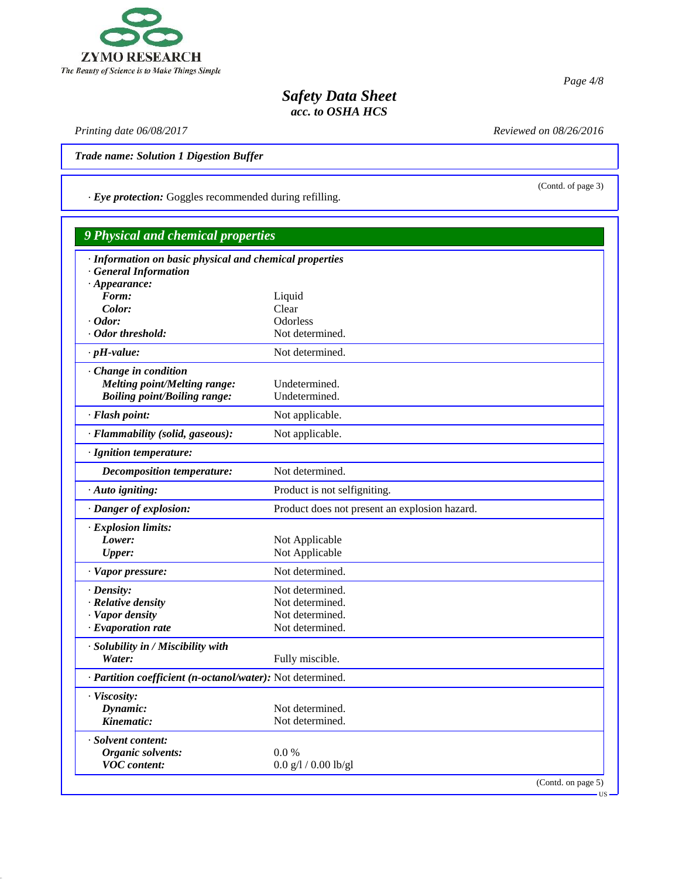

*Printing date 06/08/2017 Reviewed on 08/26/2016*

44.0

*Trade name: Solution 1 Digestion Buffer*

· *Eye protection:* Goggles recommended during refilling.

*9 Physical and chemical properties* · *Information on basic physical and chemical properties* · *General Information* · *Appearance:* **Form:**<br> **Color:**<br> **Clear** *Color:* Clear · *Odor:* Odorless · *Odor threshold:* Not determined. · *pH*-value: Not determined. · *Change in condition Melting point/Melting range:* Undetermined.  $B\text{oiling point}/B\text{oiling range:}$ · **Flash point:** Not applicable. · *Flammability (solid, gaseous):* Not applicable. · *Ignition temperature: Decomposition temperature:* Not determined. · *Auto igniting*: Product is not selfigniting. · *Danger of explosion:* Product does not present an explosion hazard. · *Explosion limits: Lower:* Not Applicable *Upper:* Not Applicable · *Vapor pressure:* Not determined. · *Density:* Not determined. · *Relative density* Not determined. · *Vapor density* Not determined. · *Evaporation rate* Not determined. · *Solubility in / Miscibility with* **Water:** Fully miscible. · *Partition coefficient (n-octanol/water):* Not determined. · *Viscosity: Dynamic:* Not determined. **Kinematic:** Not determined. · *Solvent content: Organic solvents:* 0.0 % *VOC content:* 0.0 g/l / 0.00 lb/gl (Contd. on page 5)

*Page 4/8*

(Contd. of page 3)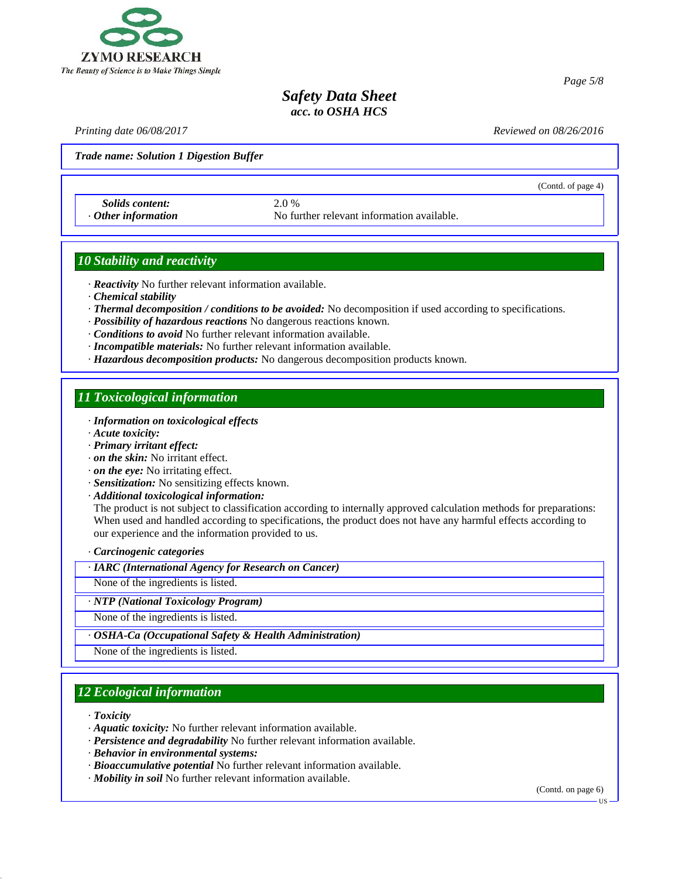

*Printing date 06/08/2017 Reviewed on 08/26/2016*

(Contd. of page 4)

*Trade name: Solution 1 Digestion Buffer*

*Solids content:* 2.0 %

• *Other information* No further relevant information available.

### *10 Stability and reactivity*

· *Reactivity* No further relevant information available.

· *Chemical stability*

· *Thermal decomposition / conditions to be avoided:* No decomposition if used according to specifications.

· *Possibility of hazardous reactions* No dangerous reactions known.

· *Conditions to avoid* No further relevant information available.

· *Incompatible materials:* No further relevant information available.

· *Hazardous decomposition products:* No dangerous decomposition products known.

### *11 Toxicological information*

· *Information on toxicological effects*

· *Acute toxicity:*

- · *Primary irritant effect:*
- · *on the skin:* No irritant effect.
- · *on the eye:* No irritating effect.
- · *Sensitization:* No sensitizing effects known.

· *Additional toxicological information:*

The product is not subject to classification according to internally approved calculation methods for preparations: When used and handled according to specifications, the product does not have any harmful effects according to our experience and the information provided to us.

· *Carcinogenic categories*

· *IARC (International Agency for Research on Cancer)*

None of the ingredients is listed.

## · *NTP (National Toxicology Program)*

None of the ingredients is listed.

· *OSHA-Ca (Occupational Safety & Health Administration)*

None of the ingredients is listed.

# *12 Ecological information*

· *Toxicity*

44.0

- · *Aquatic toxicity:* No further relevant information available.
- · *Persistence and degradability* No further relevant information available.
- · *Behavior in environmental systems:*
- · *Bioaccumulative potential* No further relevant information available.
- · *Mobility in soil* No further relevant information available.

(Contd. on page 6)

US

*Page 5/8*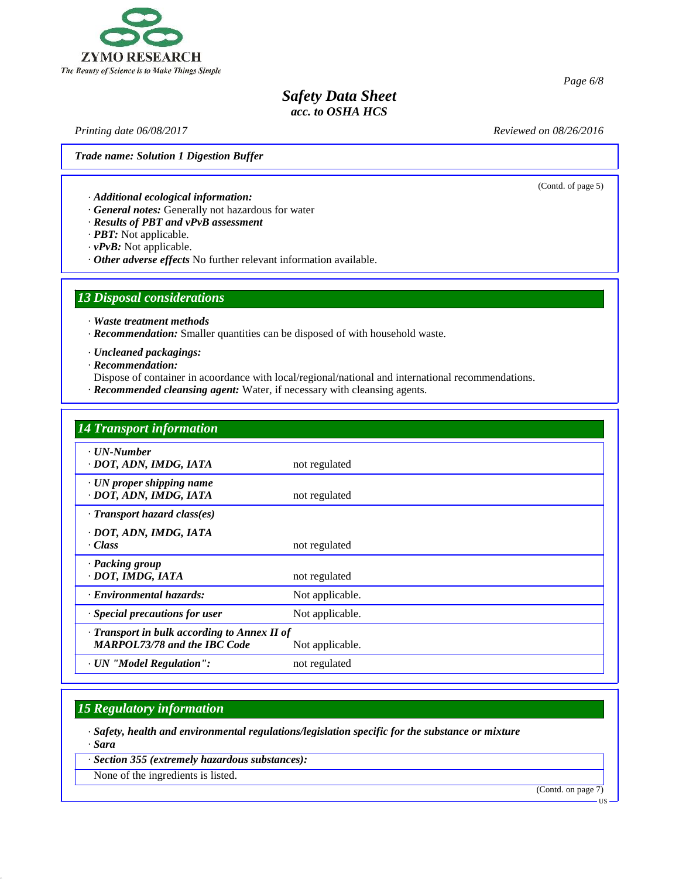

*Printing date 06/08/2017 Reviewed on 08/26/2016*

(Contd. of page 5)

*Trade name: Solution 1 Digestion Buffer*

· *Additional ecological information:*

· *General notes:* Generally not hazardous for water

· *Results of PBT and vPvB assessment*

· *PBT:* Not applicable.

· *vPvB:* Not applicable.

· *Other adverse effects* No further relevant information available.

*13 Disposal considerations*

· *Waste treatment methods*

· *Recommendation:* Smaller quantities can be disposed of with household waste.

· *Uncleaned packagings:*

· *Recommendation:*

- Dispose of container in acoordance with local/regional/national and international recommendations.
- · *Recommended cleansing agent:* Water, if necessary with cleansing agents.

| <b>14 Transport information</b>                                                     |                 |
|-------------------------------------------------------------------------------------|-----------------|
| $\cdot$ UN-Number<br>· DOT, ADN, IMDG, IATA                                         | not regulated   |
| $\cdot$ UN proper shipping name<br>· DOT, ADN, IMDG, IATA                           | not regulated   |
| $\cdot$ Transport hazard class(es)                                                  |                 |
| · DOT, ADN, IMDG, IATA<br>Class                                                     | not regulated   |
| · Packing group<br>· DOT, IMDG, IATA                                                | not regulated   |
| · Environmental hazards:                                                            | Not applicable. |
| · Special precautions for user                                                      | Not applicable. |
| · Transport in bulk according to Annex II of<br><b>MARPOL73/78 and the IBC Code</b> | Not applicable. |
| · UN "Model Regulation":                                                            | not regulated   |

# *15 Regulatory information*

44.0

· *Safety, health and environmental regulations/legislation specific for the substance or mixture* · *Sara*

· *Section 355 (extremely hazardous substances):*

None of the ingredients is listed.

(Contd. on page 7)

US

*Page 6/8*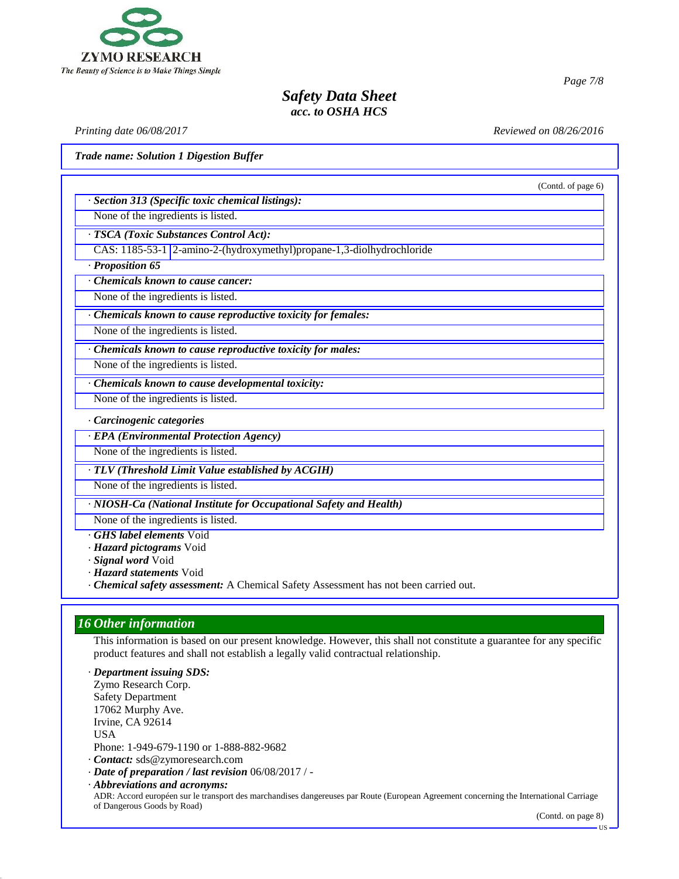

*Printing date 06/08/2017 Reviewed on 08/26/2016*

*Trade name: Solution 1 Digestion Buffer*

| (Contd. of page 6) |  |  |
|--------------------|--|--|

*Page 7/8*

· *Section 313 (Specific toxic chemical listings):*

None of the ingredients is listed.

· *TSCA (Toxic Substances Control Act):*

CAS: 1185-53-1 2-amino-2-(hydroxymethyl)propane-1,3-diolhydrochloride

· *Proposition 65*

· *Chemicals known to cause cancer:*

None of the ingredients is listed.

· *Chemicals known to cause reproductive toxicity for females:*

None of the ingredients is listed.

· *Chemicals known to cause reproductive toxicity for males:*

None of the ingredients is listed.

· *Chemicals known to cause developmental toxicity:*

None of the ingredients is listed.

· *Carcinogenic categories*

· *EPA (Environmental Protection Agency)*

None of the ingredients is listed.

· *TLV (Threshold Limit Value established by ACGIH)*

None of the ingredients is listed.

· *NIOSH-Ca (National Institute for Occupational Safety and Health)*

None of the ingredients is listed.

- · *GHS label elements* Void
- · *Hazard pictograms* Void
- · *Signal word* Void
- · *Hazard statements* Void
- · *Chemical safety assessment:* A Chemical Safety Assessment has not been carried out.

### *16 Other information*

44.0

This information is based on our present knowledge. However, this shall not constitute a guarantee for any specific product features and shall not establish a legally valid contractual relationship.

· *Department issuing SDS:* Zymo Research Corp. Safety Department 17062 Murphy Ave. Irvine, CA 92614 USA Phone: 1-949-679-1190 or 1-888-882-9682 · *Contact:* sds@zymoresearch.com · *Date of preparation / last revision* 06/08/2017 / - · *Abbreviations and acronyms:*

ADR: Accord européen sur le transport des marchandises dangereuses par Route (European Agreement concerning the International Carriage of Dangerous Goods by Road)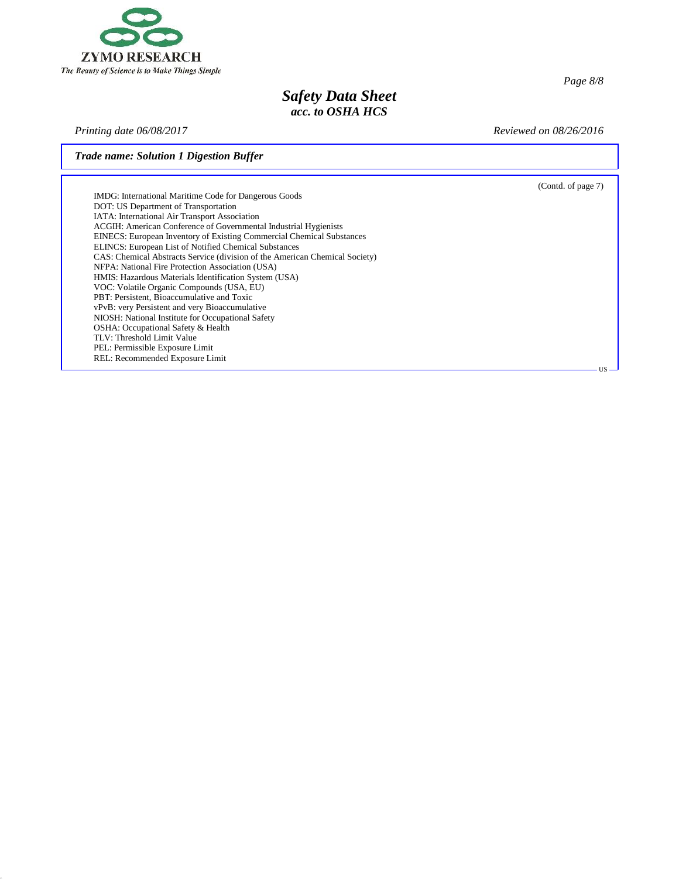

*Printing date 06/08/2017 Reviewed on 08/26/2016*

44.0

*Trade name: Solution 1 Digestion Buffer*

(Contd. of page 7)

US

*Page 8/8*

IMDG: International Maritime Code for Dangerous Goods DOT: US Department of Transportation IATA: International Air Transport Association ACGIH: American Conference of Governmental Industrial Hygienists EINECS: European Inventory of Existing Commercial Chemical Substances ELINCS: European List of Notified Chemical Substances CAS: Chemical Abstracts Service (division of the American Chemical Society) NFPA: National Fire Protection Association (USA) HMIS: Hazardous Materials Identification System (USA) VOC: Volatile Organic Compounds (USA, EU) PBT: Persistent, Bioaccumulative and Toxic vPvB: very Persistent and very Bioaccumulative NIOSH: National Institute for Occupational Safety OSHA: Occupational Safety & Health TLV: Threshold Limit Value PEL: Permissible Exposure Limit REL: Recommended Exposure Limit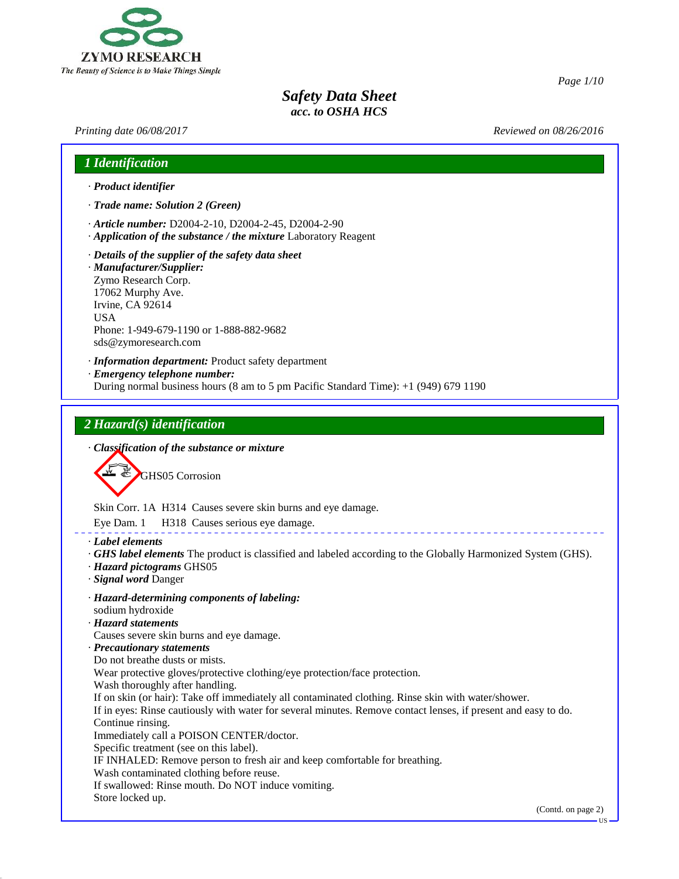

*Printing date 06/08/2017 Reviewed on 08/26/2016*

*1 Identification*

44.0

*Page 1/10*

## · *Product identifier* · *Trade name: Solution 2 (Green)* · *Article number:* D2004-2-10, D2004-2-45, D2004-2-90 · *Application of the substance / the mixture* Laboratory Reagent · *Details of the supplier of the safety data sheet* · *Manufacturer/Supplier:* Zymo Research Corp. 17062 Murphy Ave. Irvine, CA 92614 USA Phone: 1-949-679-1190 or 1-888-882-9682 sds@zymoresearch.com · *Information department:* Product safety department · *Emergency telephone number:* During normal business hours (8 am to 5 pm Pacific Standard Time): +1 (949) 679 1190 *2 Hazard(s) identification* · *Classification of the substance or mixture* GHS05 Corrosion Skin Corr. 1A H314 Causes severe skin burns and eye damage. Eye Dam. 1 H318 Causes serious eye damage. · *Label elements* · *GHS label elements* The product is classified and labeled according to the Globally Harmonized System (GHS). · *Hazard pictograms* GHS05 · *Signal word* Danger · *Hazard-determining components of labeling:* sodium hydroxide · *Hazard statements* Causes severe skin burns and eye damage. · *Precautionary statements* Do not breathe dusts or mists. Wear protective gloves/protective clothing/eye protection/face protection. Wash thoroughly after handling. If on skin (or hair): Take off immediately all contaminated clothing. Rinse skin with water/shower. If in eyes: Rinse cautiously with water for several minutes. Remove contact lenses, if present and easy to do. Continue rinsing. Immediately call a POISON CENTER/doctor. Specific treatment (see on this label). IF INHALED: Remove person to fresh air and keep comfortable for breathing. Wash contaminated clothing before reuse. If swallowed: Rinse mouth. Do NOT induce vomiting. Store locked up. (Contd. on page 2)US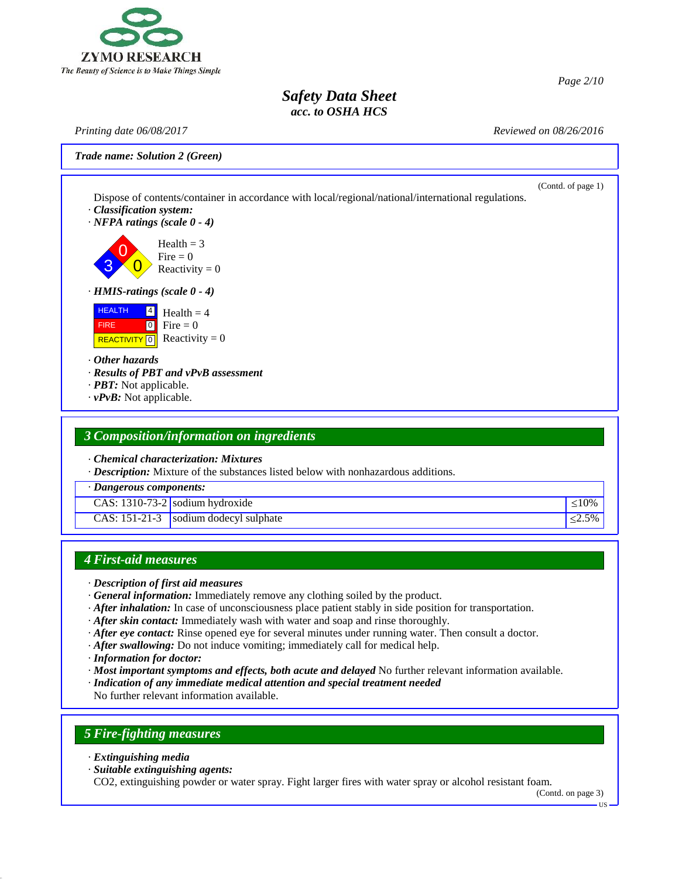

*Printing date 06/08/2017 Reviewed on 08/26/2016*

*Trade name: Solution 2 (Green)*

(Contd. of page 1) Dispose of contents/container in accordance with local/regional/national/international regulations. · *Classification system:* · *NFPA ratings (scale 0 - 4)*

 $3 \times 0$  Reactivity = 0 Fire  $= 0$  $Health = 3$ 



HEALTH<sub>4</sub> FIRE 0 **REACTIVITY** 0  $\frac{4}{ }$  Health = 4  $\bullet$  Fire = 0  $\overline{0}$  Reactivity = 0

· *Other hazards*

· *Results of PBT and vPvB assessment*

· *PBT:* Not applicable.

· *vPvB:* Not applicable.

### *3 Composition/information on ingredients*

· *Chemical characterization: Mixtures*

· *Description:* Mixture of the substances listed below with nonhazardous additions.

· *Dangerous components:*

 $\text{CAS: } 1310-73-2 \text{ sodium hydroxide}$   $\leq 10\%$ 

CAS:  $151-21-3$  sodium dodecyl sulphate  $\leq 2.5\%$ 

### *4 First-aid measures*

- · *Description of first aid measures*
- · *General information:* Immediately remove any clothing soiled by the product.
- · *After inhalation:* In case of unconsciousness place patient stably in side position for transportation.
- · *After skin contact:* Immediately wash with water and soap and rinse thoroughly.
- · *After eye contact:* Rinse opened eye for several minutes under running water. Then consult a doctor.
- · *After swallowing:* Do not induce vomiting; immediately call for medical help.
- · *Information for doctor:*
- · *Most important symptoms and effects, both acute and delayed* No further relevant information available.
- · *Indication of any immediate medical attention and special treatment needed*
- No further relevant information available.

### *5 Fire-fighting measures*

· *Extinguishing media*

44.0

· *Suitable extinguishing agents:*

CO2, extinguishing powder or water spray. Fight larger fires with water spray or alcohol resistant foam.

(Contd. on page 3)

#### *Page 2/10*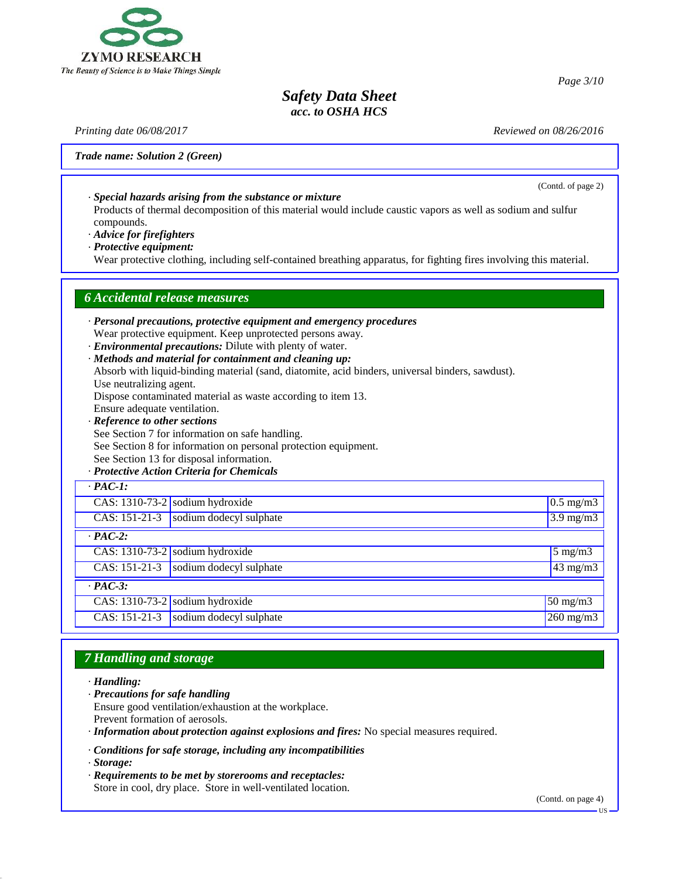

*Printing date 06/08/2017 Reviewed on 08/26/2016*

*Page 3/10*

(Contd. of page 2)

*Trade name: Solution 2 (Green)*

· *Special hazards arising from the substance or mixture*

Products of thermal decomposition of this material would include caustic vapors as well as sodium and sulfur compounds.

- · *Advice for firefighters*
- · *Protective equipment:*

Wear protective clothing, including self-contained breathing apparatus, for fighting fires involving this material.

#### *6 Accidental release measures*

- · *Personal precautions, protective equipment and emergency procedures* Wear protective equipment. Keep unprotected persons away.
- · *Environmental precautions:* Dilute with plenty of water.
- · *Methods and material for containment and cleaning up:* Absorb with liquid-binding material (sand, diatomite, acid binders, universal binders, sawdust).
- Use neutralizing agent.

Dispose contaminated material as waste according to item 13.

- Ensure adequate ventilation.
- · *Reference to other sections*
- See Section 7 for information on safe handling.

See Section 8 for information on personal protection equipment.

See Section 13 for disposal information.

· *Protective Action Criteria for Chemicals*

| $0.5 \text{ mg/m}$                                                                                                                                                                                                        |
|---------------------------------------------------------------------------------------------------------------------------------------------------------------------------------------------------------------------------|
| $\sqrt{3.9}$ mg/m3                                                                                                                                                                                                        |
|                                                                                                                                                                                                                           |
| $5 \text{ mg/m}$                                                                                                                                                                                                          |
| $\sqrt{43}$ mg/m3                                                                                                                                                                                                         |
|                                                                                                                                                                                                                           |
| $50 \text{ mg/m}$                                                                                                                                                                                                         |
| $260$ mg/m3                                                                                                                                                                                                               |
| CAS: $1310-73-2$ sodium hydroxide<br>CAS: 151-21-3 sodium dodecyl sulphate<br>CAS: $1310-73-2$ sodium hydroxide<br>sodium dodecyl sulphate<br>CAS: 151-21-3<br>CAS: 1310-73-2 sodium hydroxide<br>sodium dodecyl sulphate |

## *7 Handling and storage*

· *Handling:*

- · *Precautions for safe handling* Ensure good ventilation/exhaustion at the workplace. Prevent formation of aerosols.
- · *Information about protection against explosions and fires:* No special measures required.
- · *Conditions for safe storage, including any incompatibilities*
- · *Storage:*

44.0

· *Requirements to be met by storerooms and receptacles:* Store in cool, dry place. Store in well-ventilated location.

(Contd. on page 4)

US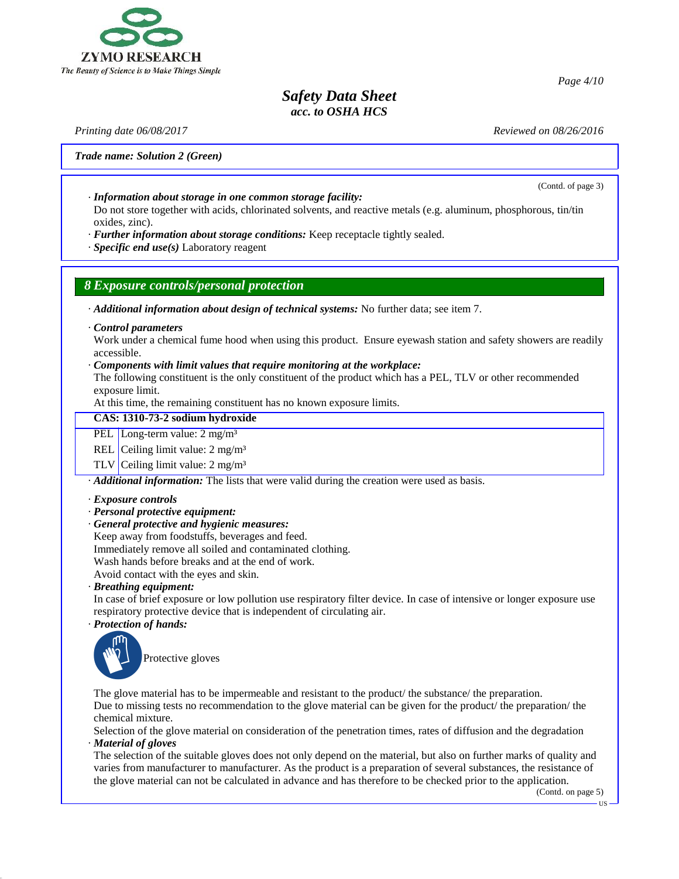

*Printing date 06/08/2017 Reviewed on 08/26/2016*

*Trade name: Solution 2 (Green)*

· *Information about storage in one common storage facility:*

Do not store together with acids, chlorinated solvents, and reactive metals (e.g. aluminum, phosphorous, tin/tin oxides, zinc).

- · *Further information about storage conditions:* Keep receptacle tightly sealed.
- · *Specific end use(s)* Laboratory reagent

#### *8 Exposure controls/personal protection*

- · *Additional information about design of technical systems:* No further data; see item 7.
- · *Control parameters*

Work under a chemical fume hood when using this product. Ensure eyewash station and safety showers are readily accessible.

· *Components with limit values that require monitoring at the workplace:*

The following constituent is the only constituent of the product which has a PEL, TLV or other recommended exposure limit.

At this time, the remaining constituent has no known exposure limits.

**CAS: 1310-73-2 sodium hydroxide**

PEL Long-term value: 2 mg/m<sup>3</sup>

REL Ceiling limit value: 2 mg/m<sup>3</sup>

TLV Ceiling limit value: 2 mg/m<sup>3</sup>

· *Additional information:* The lists that were valid during the creation were used as basis.

- · *Exposure controls*
- · *Personal protective equipment:*
- · *General protective and hygienic measures:*

Keep away from foodstuffs, beverages and feed.

Immediately remove all soiled and contaminated clothing.

Wash hands before breaks and at the end of work.

Avoid contact with the eyes and skin.

· *Breathing equipment:*

In case of brief exposure or low pollution use respiratory filter device. In case of intensive or longer exposure use respiratory protective device that is independent of circulating air.

· *Protection of hands:*

44.0



The glove material has to be impermeable and resistant to the product/ the substance/ the preparation. Due to missing tests no recommendation to the glove material can be given for the product/ the preparation/ the chemical mixture.

Selection of the glove material on consideration of the penetration times, rates of diffusion and the degradation · *Material of gloves*

The selection of the suitable gloves does not only depend on the material, but also on further marks of quality and varies from manufacturer to manufacturer. As the product is a preparation of several substances, the resistance of the glove material can not be calculated in advance and has therefore to be checked prior to the application.

(Contd. on page 5)

US

(Contd. of page 3)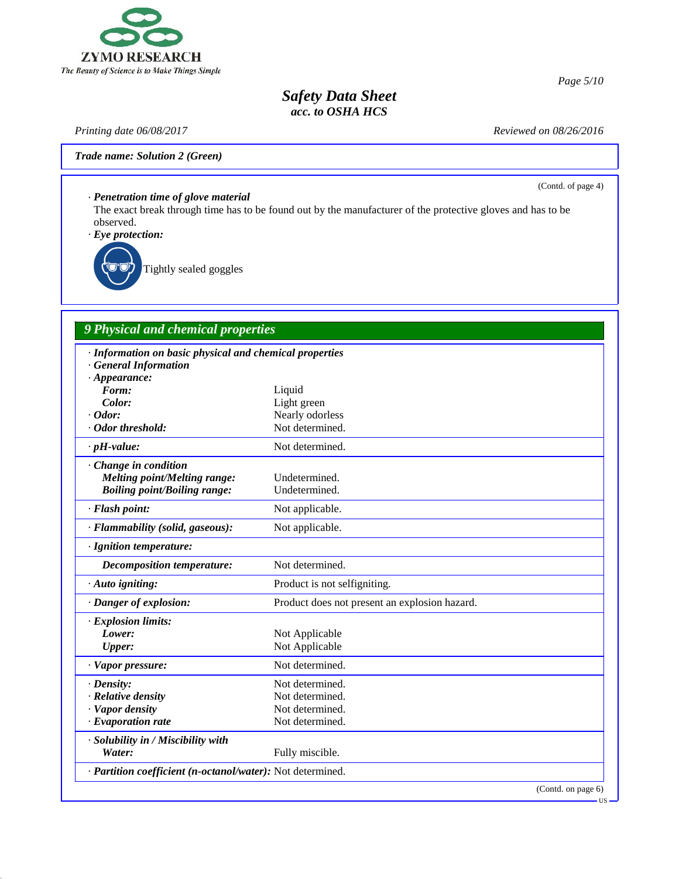

*Printing date 06/08/2017 Reviewed on 08/26/2016*

*Trade name: Solution 2 (Green)*

· *Penetration time of glove material*

The exact break through time has to be found out by the manufacturer of the protective gloves and has to be observed.

· *Eye protection:*

44.0

Tightly sealed goggles

# *9 Physical and chemical properties*

| · Information on basic physical and chemical properties    |                                               |
|------------------------------------------------------------|-----------------------------------------------|
| · General Information                                      |                                               |
| $\cdot$ Appearance:                                        |                                               |
| Form:                                                      | Liquid                                        |
| Color:                                                     | Light green                                   |
| $\cdot$ Odor:                                              | Nearly odorless                               |
| · Odor threshold:                                          | Not determined.                               |
| $\cdot$ pH-value:                                          | Not determined.                               |
| · Change in condition                                      |                                               |
| <b>Melting point/Melting range:</b>                        | Undetermined.                                 |
| <b>Boiling point/Boiling range:</b>                        | Undetermined.                                 |
| · Flash point:                                             | Not applicable.                               |
| · Flammability (solid, gaseous):                           | Not applicable.                               |
| · Ignition temperature:                                    |                                               |
| <b>Decomposition temperature:</b>                          | Not determined.                               |
| $\cdot$ Auto igniting:                                     | Product is not selfigniting.                  |
| · Danger of explosion:                                     | Product does not present an explosion hazard. |
| · Explosion limits:                                        |                                               |
| Lower:                                                     | Not Applicable                                |
| <b>Upper:</b>                                              | Not Applicable                                |
| · Vapor pressure:                                          | Not determined.                               |
| $\cdot$ Density:                                           | Not determined.                               |
| · Relative density                                         | Not determined.                               |
| · Vapor density                                            | Not determined.                               |
| · Evaporation rate                                         | Not determined.                               |
| · Solubility in / Miscibility with                         |                                               |
| Water:                                                     | Fully miscible.                               |
| - Partition coefficient (n-octanol/water): Not determined. |                                               |
|                                                            | (Contd. on page 6)                            |

*Page 5/10*

(Contd. of page 4)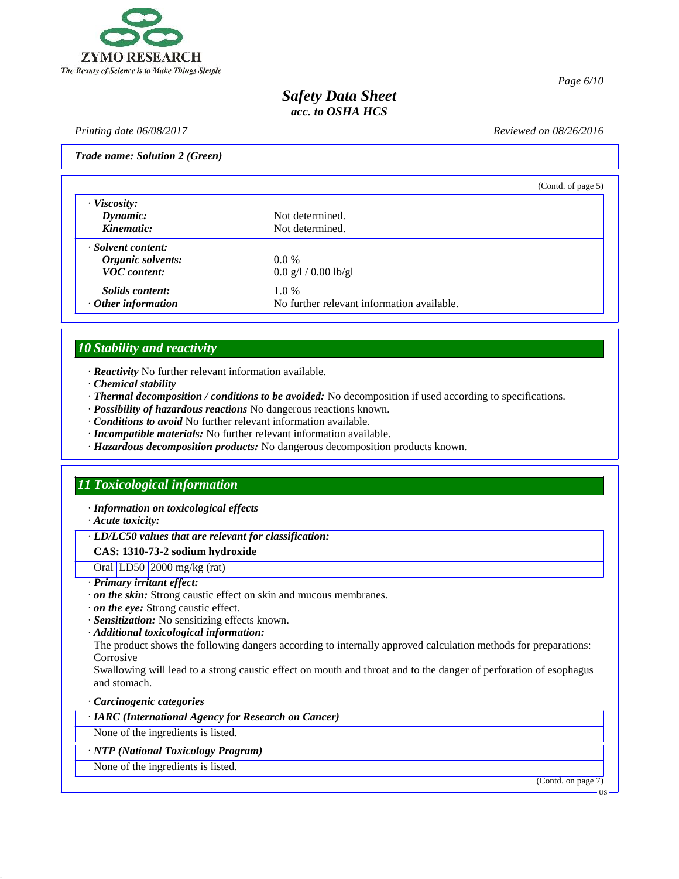

*Printing date 06/08/2017 Reviewed on 08/26/2016*

*Trade name: Solution 2 (Green)*

|                           |                                            | (Contd. of page 5) |
|---------------------------|--------------------------------------------|--------------------|
| $\cdot$ Viscosity:        |                                            |                    |
| Dynamic:                  | Not determined.                            |                    |
| Kinematic:                | Not determined.                            |                    |
| · Solvent content:        |                                            |                    |
| Organic solvents:         | $0.0\%$                                    |                    |
| <b>VOC</b> content:       | $0.0$ g/l / $0.00$ lb/gl                   |                    |
| <i>Solids content:</i>    | $1.0\%$                                    |                    |
| $\cdot$ Other information | No further relevant information available. |                    |

### *10 Stability and reactivity*

- · *Reactivity* No further relevant information available.
- · *Chemical stability*
- · *Thermal decomposition / conditions to be avoided:* No decomposition if used according to specifications.
- · *Possibility of hazardous reactions* No dangerous reactions known.
- · *Conditions to avoid* No further relevant information available.
- · *Incompatible materials:* No further relevant information available.
- · *Hazardous decomposition products:* No dangerous decomposition products known.

#### *11 Toxicological information*

· *Information on toxicological effects*

· *Acute toxicity:*

· *LD/LC50 values that are relevant for classification:*

#### **CAS: 1310-73-2 sodium hydroxide**

Oral LD50 2000 mg/kg (rat)

- · *Primary irritant effect:*
- · *on the skin:* Strong caustic effect on skin and mucous membranes.
- · *on the eye:* Strong caustic effect.
- · *Sensitization:* No sensitizing effects known.
- · *Additional toxicological information:*

The product shows the following dangers according to internally approved calculation methods for preparations: Corrosive

Swallowing will lead to a strong caustic effect on mouth and throat and to the danger of perforation of esophagus and stomach.

· *Carcinogenic categories*

44.0

· *IARC (International Agency for Research on Cancer)*

None of the ingredients is listed.

· *NTP (National Toxicology Program)*

None of the ingredients is listed.

(Contd. on page 7)

US

*Page 6/10*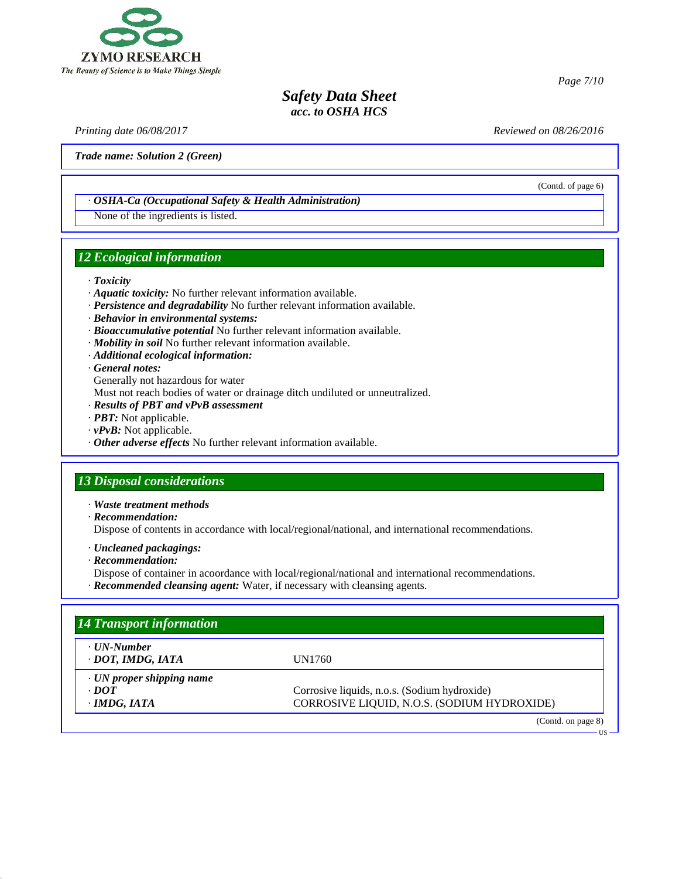

*Printing date 06/08/2017 Reviewed on 08/26/2016*

*Trade name: Solution 2 (Green)*

#### · *OSHA-Ca (Occupational Safety & Health Administration)*

None of the ingredients is listed.

### *12 Ecological information*

#### · *Toxicity*

- · *Aquatic toxicity:* No further relevant information available.
- · *Persistence and degradability* No further relevant information available.
- · *Behavior in environmental systems:*
- · *Bioaccumulative potential* No further relevant information available.
- · *Mobility in soil* No further relevant information available.
- · *Additional ecological information:*

· *General notes:*

Generally not hazardous for water

Must not reach bodies of water or drainage ditch undiluted or unneutralized.

- · *Results of PBT and vPvB assessment*
- · *PBT:* Not applicable.
- · *vPvB:* Not applicable.
- · *Other adverse effects* No further relevant information available.

### *13 Disposal considerations*

· *Waste treatment methods*

· *Recommendation:*

Dispose of contents in accordance with local/regional/national, and international recommendations.

- · *Uncleaned packagings:*
- · *Recommendation:*

44.0

Dispose of container in acoordance with local/regional/national and international recommendations.

· *Recommended cleansing agent:* Water, if necessary with cleansing agents.

| UN1760                                       |
|----------------------------------------------|
|                                              |
| Corrosive liquids, n.o.s. (Sodium hydroxide) |
| CORROSIVE LIQUID, N.O.S. (SODIUM HYDROXIDE)  |
|                                              |

(Contd. of page 6)

*Page 7/10*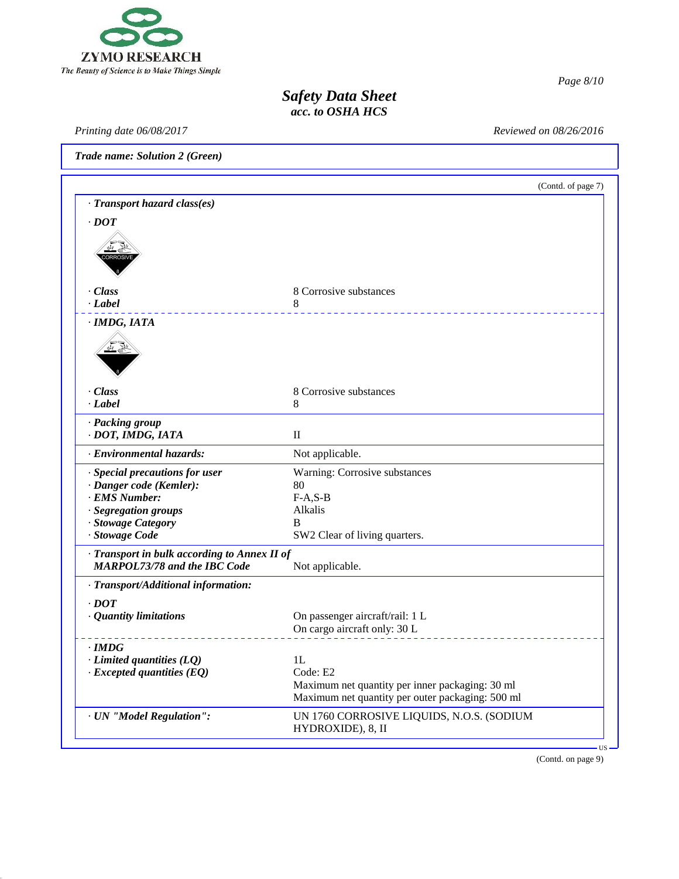

44.0

*Printing date 06/08/2017 Reviewed on 08/26/2016*

|                                              |                                                  | (Contd. of page 7) |
|----------------------------------------------|--------------------------------------------------|--------------------|
| · Transport hazard class(es)                 |                                                  |                    |
| $\cdot$ <i>DOT</i>                           |                                                  |                    |
| <b>DRROSI</b>                                |                                                  |                    |
|                                              |                                                  |                    |
| . Class                                      | 8 Corrosive substances                           |                    |
| $-Label$                                     | 8<br>_____________________                       |                    |
| · IMDG, IATA                                 |                                                  |                    |
|                                              |                                                  |                    |
|                                              |                                                  |                    |
|                                              |                                                  |                    |
| · Class                                      | 8 Corrosive substances                           |                    |
| · Label                                      | 8                                                |                    |
| · Packing group                              |                                                  |                    |
| · DOT, IMDG, IATA                            | $\mathbf{I}$                                     |                    |
| · Environmental hazards:                     | Not applicable.                                  |                    |
| · Special precautions for user               | Warning: Corrosive substances                    |                    |
| · Danger code (Kemler):                      | 80                                               |                    |
| · EMS Number:                                | $F-A, S-B$                                       |                    |
| · Segregation groups                         | Alkalis                                          |                    |
| · Stowage Category                           | B                                                |                    |
| · Stowage Code                               | SW2 Clear of living quarters.                    |                    |
| · Transport in bulk according to Annex II of |                                                  |                    |
| <b>MARPOL73/78 and the IBC Code</b>          | Not applicable.                                  |                    |
| · Transport/Additional information:          |                                                  |                    |
| $\cdot$ <i>DOT</i>                           |                                                  |                    |
| · Quantity limitations                       | On passenger aircraft/rail: 1 L                  |                    |
|                                              | On cargo aircraft only: 30 L                     |                    |
| $\cdot$ IMDG                                 |                                                  |                    |
| $\cdot$ Limited quantities (LQ)              | 1L                                               |                    |
| $\cdot$ Excepted quantities (EQ)             | Code: E2                                         |                    |
|                                              | Maximum net quantity per inner packaging: 30 ml  |                    |
|                                              | Maximum net quantity per outer packaging: 500 ml |                    |
| · UN "Model Regulation":                     | UN 1760 CORROSIVE LIQUIDS, N.O.S. (SODIUM        |                    |

(Contd. on page 9)

*Page 8/10*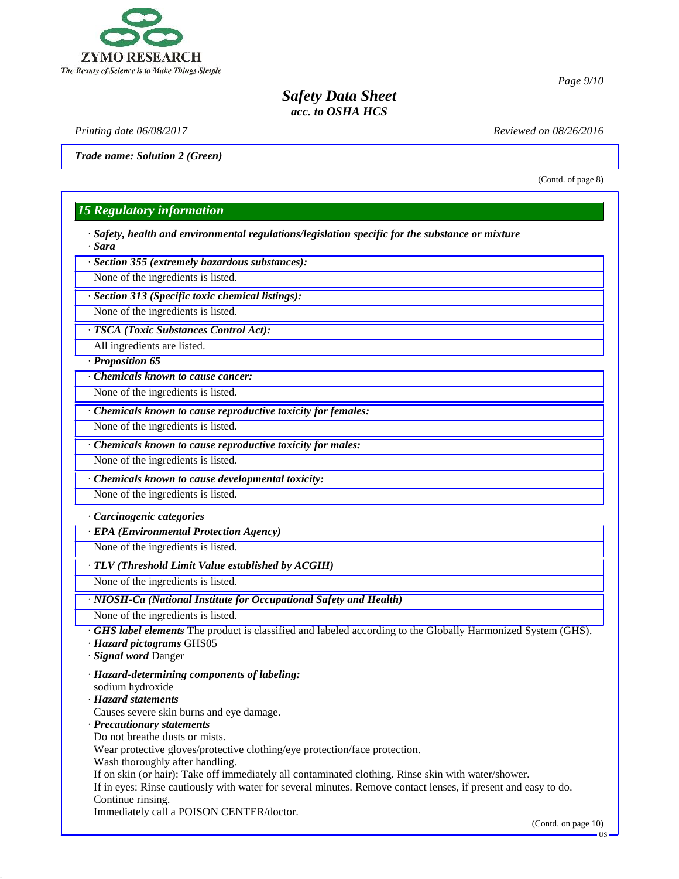

*Printing date 06/08/2017 Reviewed on 08/26/2016*

*Trade name: Solution 2 (Green)*

(Contd. of page 8)

*Page 9/10*

### *15 Regulatory information*

· *Safety, health and environmental regulations/legislation specific for the substance or mixture* · *Sara*

· *Section 355 (extremely hazardous substances):*

None of the ingredients is listed.

· *Section 313 (Specific toxic chemical listings):*

None of the ingredients is listed.

· *TSCA (Toxic Substances Control Act):*

All ingredients are listed.

· *Proposition 65*

· *Chemicals known to cause cancer:*

None of the ingredients is listed.

· *Chemicals known to cause reproductive toxicity for females:*

None of the ingredients is listed.

· *Chemicals known to cause reproductive toxicity for males:*

None of the ingredients is listed.

· *Chemicals known to cause developmental toxicity:*

None of the ingredients is listed.

#### · *Carcinogenic categories*

· *EPA (Environmental Protection Agency)*

None of the ingredients is listed.

· *TLV (Threshold Limit Value established by ACGIH)*

None of the ingredients is listed.

· *NIOSH-Ca (National Institute for Occupational Safety and Health)*

None of the ingredients is listed.

· *GHS label elements* The product is classified and labeled according to the Globally Harmonized System (GHS). · *Hazard pictograms* GHS05

· *Signal word* Danger

· *Hazard-determining components of labeling:* sodium hydroxide

· *Hazard statements*

44.0

Causes severe skin burns and eye damage.

· *Precautionary statements*

Do not breathe dusts or mists.

Wear protective gloves/protective clothing/eye protection/face protection.

Wash thoroughly after handling.

If on skin (or hair): Take off immediately all contaminated clothing. Rinse skin with water/shower.

If in eyes: Rinse cautiously with water for several minutes. Remove contact lenses, if present and easy to do. Continue rinsing.

Immediately call a POISON CENTER/doctor.

(Contd. on page 10)

US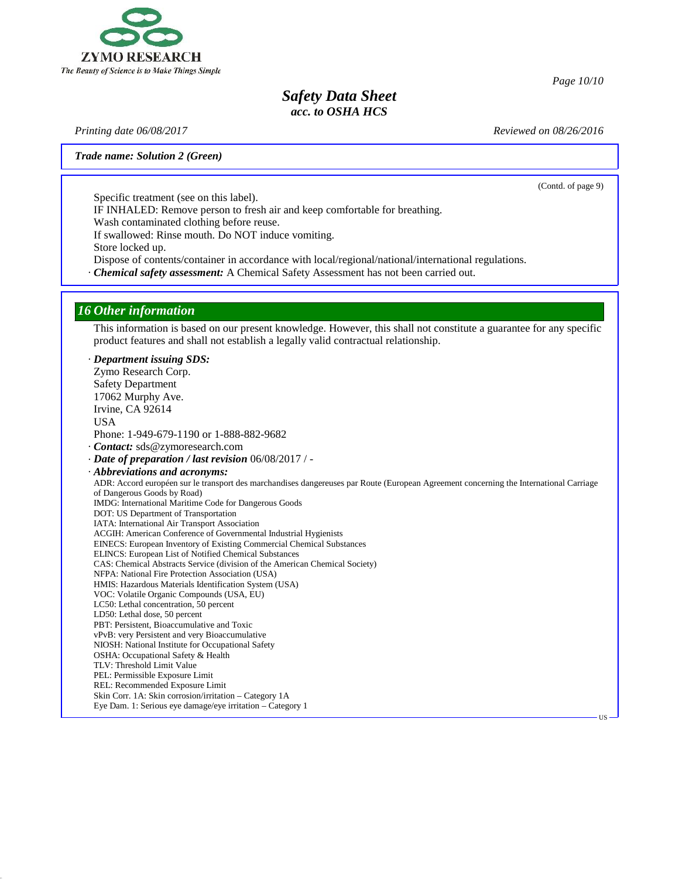

*Printing date 06/08/2017 Reviewed on 08/26/2016*

*Trade name: Solution 2 (Green)*

Specific treatment (see on this label).

IF INHALED: Remove person to fresh air and keep comfortable for breathing.

Wash contaminated clothing before reuse.

If swallowed: Rinse mouth. Do NOT induce vomiting.

Store locked up.

Dispose of contents/container in accordance with local/regional/national/international regulations.

· *Chemical safety assessment:* A Chemical Safety Assessment has not been carried out.

### *16 Other information*

44.0

This information is based on our present knowledge. However, this shall not constitute a guarantee for any specific product features and shall not establish a legally valid contractual relationship.

· *Department issuing SDS:*

Zymo Research Corp. Safety Department 17062 Murphy Ave. Irvine, CA 92614 USA Phone: 1-949-679-1190 or 1-888-882-9682 · *Contact:* sds@zymoresearch.com · *Date of preparation / last revision* 06/08/2017 / - · *Abbreviations and acronyms:* ADR: Accord européen sur le transport des marchandises dangereuses par Route (European Agreement concerning the International Carriage of Dangerous Goods by Road) IMDG: International Maritime Code for Dangerous Goods DOT: US Department of Transportation IATA: International Air Transport Association ACGIH: American Conference of Governmental Industrial Hygienists EINECS: European Inventory of Existing Commercial Chemical Substances ELINCS: European List of Notified Chemical Substances CAS: Chemical Abstracts Service (division of the American Chemical Society) NFPA: National Fire Protection Association (USA) HMIS: Hazardous Materials Identification System (USA) VOC: Volatile Organic Compounds (USA, EU) LC50: Lethal concentration, 50 percent LD50: Lethal dose, 50 percent PBT: Persistent, Bioaccumulative and Toxic vPvB: very Persistent and very Bioaccumulative NIOSH: National Institute for Occupational Safety OSHA: Occupational Safety & Health TLV: Threshold Limit Value PEL: Permissible Exposure Limit REL: Recommended Exposure Limit Skin Corr. 1A: Skin corrosion/irritation – Category 1A Eye Dam. 1: Serious eye damage/eye irritation – Category 1

US

*Page 10/10*

(Contd. of page 9)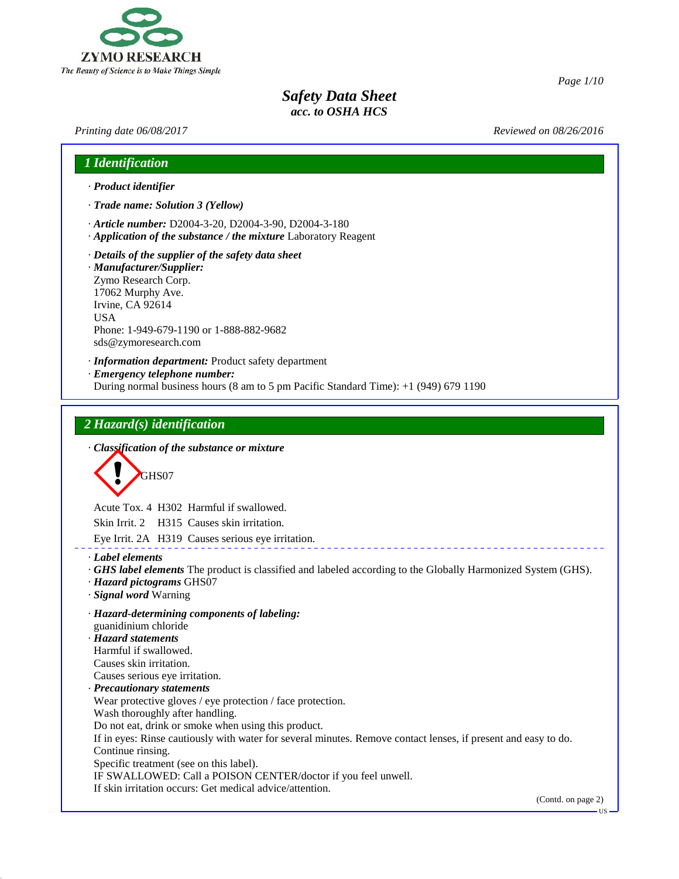

*Printing date 06/08/2017 Reviewed on 08/26/2016*

44.0

*Page 1/10*

# *1 Identification* · *Product identifier* · *Trade name: Solution 3 (Yellow)* · *Article number:* D2004-3-20, D2004-3-90, D2004-3-180 · *Application of the substance / the mixture* Laboratory Reagent · *Details of the supplier of the safety data sheet* · *Manufacturer/Supplier:* Zymo Research Corp. 17062 Murphy Ave. Irvine, CA 92614 USA Phone: 1-949-679-1190 or 1-888-882-9682 sds@zymoresearch.com · *Information department:* Product safety department · *Emergency telephone number:* During normal business hours (8 am to 5 pm Pacific Standard Time): +1 (949) 679 1190 *2 Hazard(s) identification* · *Classification of the substance or mixture* GHS07 Acute Tox. 4 H302 Harmful if swallowed. Skin Irrit. 2 H315 Causes skin irritation. Eye Irrit. 2A H319 Causes serious eye irritation. · *Label elements* · *GHS label elements* The product is classified and labeled according to the Globally Harmonized System (GHS). · *Hazard pictograms* GHS07 · *Signal word* Warning · *Hazard-determining components of labeling:* guanidinium chloride · *Hazard statements* Harmful if swallowed. Causes skin irritation. Causes serious eye irritation. · *Precautionary statements* Wear protective gloves / eye protection / face protection. Wash thoroughly after handling. Do not eat, drink or smoke when using this product. If in eyes: Rinse cautiously with water for several minutes. Remove contact lenses, if present and easy to do. Continue rinsing. Specific treatment (see on this label). IF SWALLOWED: Call a POISON CENTER/doctor if you feel unwell. If skin irritation occurs: Get medical advice/attention. (Contd. on page 2)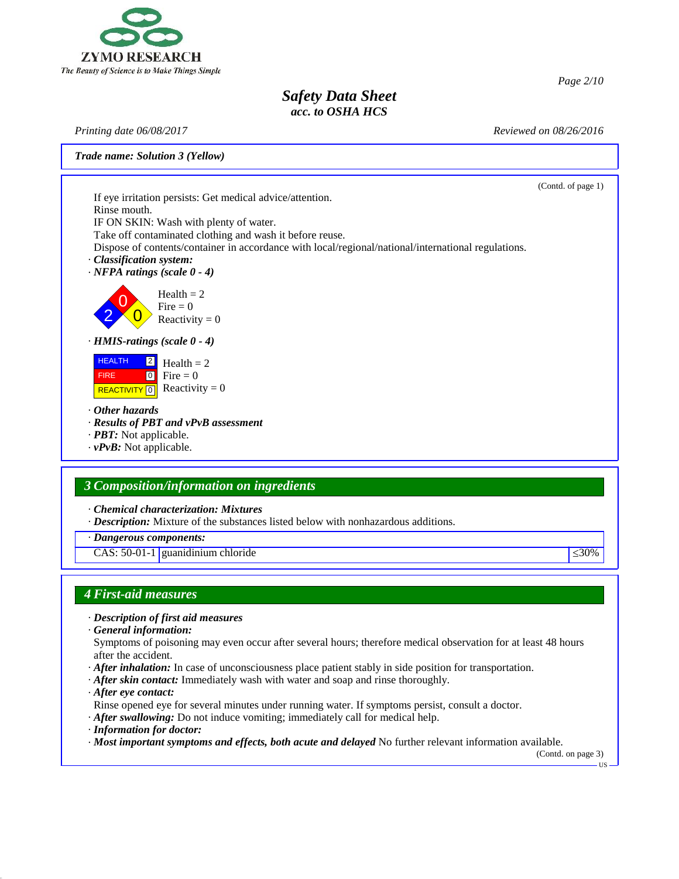

*Printing date 06/08/2017 Reviewed on 08/26/2016*

*Trade name: Solution 3 (Yellow)*

(Contd. of page 1) If eye irritation persists: Get medical advice/attention. Rinse mouth. IF ON SKIN: Wash with plenty of water. Take off contaminated clothing and wash it before reuse. Dispose of contents/container in accordance with local/regional/national/international regulations. · *Classification system:* · *NFPA ratings (scale 0 - 4)*  $2 \times 0$  Reactivity = 0 Fire  $= 0$  $Health = 2$ · *HMIS-ratings (scale 0 - 4)* HEALTH<sub>2</sub> FIRE 0 REACTIVITY  $\boxed{0}$  Reactivity = 0  $\angle$  Health = 2  $\bullet$  Fire = 0 · *Other hazards* · *Results of PBT and vPvB assessment* · *PBT:* Not applicable. · *vPvB:* Not applicable.

### *3 Composition/information on ingredients*

· *Chemical characterization: Mixtures*

· *Description:* Mixture of the substances listed below with nonhazardous additions.

· *Dangerous components:*

CAS: 50-01-1 guanidinium chloride 30%

*4 First-aid measures*

· *Description of first aid measures*

· *General information:*

Symptoms of poisoning may even occur after several hours; therefore medical observation for at least 48 hours after the accident.

· *After inhalation:* In case of unconsciousness place patient stably in side position for transportation.

- · *After skin contact:* Immediately wash with water and soap and rinse thoroughly.
- · *After eye contact:*

44.0

Rinse opened eye for several minutes under running water. If symptoms persist, consult a doctor.

- · *After swallowing:* Do not induce vomiting; immediately callfor medical help.
- · *Information for doctor:*

· *Most important symptoms and effects, both acute and delayed* No further relevant information available.

(Contd. on page 3)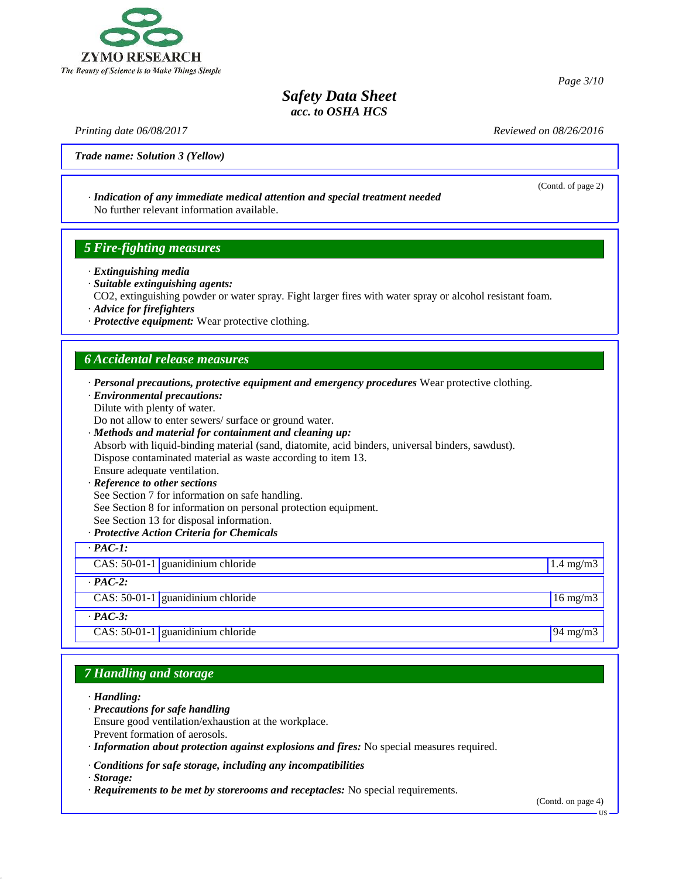

*Printing date 06/08/2017 Reviewed on 08/26/2016*

*Page 3/10*

(Contd. of page 2)

*Trade name: Solution 3 (Yellow)*

· *Indication of any immediate medical attention and special treatment needed* No further relevant information available.

*5 Fire-fighting measures*

- · *Extinguishing media*
- · *Suitable extinguishing agents:*
- CO2, extinguishing powder or water spray. Fight larger fires with water spray or alcohol resistant foam.
- · *Advice for firefighters*
- · *Protective equipment:* Wear protective clothing.

### *6 Accidental release measures*

- · *Personal precautions, protective equipment and emergency procedures* Wear protective clothing.
- · *Environmental precautions:*
- Dilute with plenty of water.
- Do not allow to enter sewers/ surface or ground water.
- · *Methods and material for containment and cleaning up:*
- Absorb with liquid-binding material (sand, diatomite, acid binders, universal binders, sawdust).

Dispose contaminated material as waste according to item 13.

- Ensure adequate ventilation.
- · *Reference to other sections*
- See Section 7 for information on safe handling.
- See Section 8 for information on personal protection equipment.
- See Section 13 for disposal information.
- · *Protective Action Criteria for Chemicals*

| $\cdot$ PAC-1:                      |                      |
|-------------------------------------|----------------------|
| $CAS: 50-01-1$ guanidinium chloride | $1.4 \text{ mg/m}$ 3 |
| $\cdot$ PAC-2:                      |                      |
| $CAS: 50-01-1$ guanidinium chloride | $16 \text{ mg/m}$    |
| $\cdot$ PAC-3:                      |                      |
| $CAS: 50-01-1$ guanidinium chloride | 94 mg/m $3$          |

# *7 Handling and storage*

· *Handling:*

- · *Precautions for safe handling*
- Ensure good ventilation/exhaustion at the workplace.
- Prevent formation of aerosols.
- · *Information about protection against explosions and fires:* No special measures required.
- · *Conditions for safe storage, including any incompatibilities*
- · *Storage:*

44.0

· *Requirements to be met by storerooms and receptacles:* No special requirements.

(Contd. on page 4)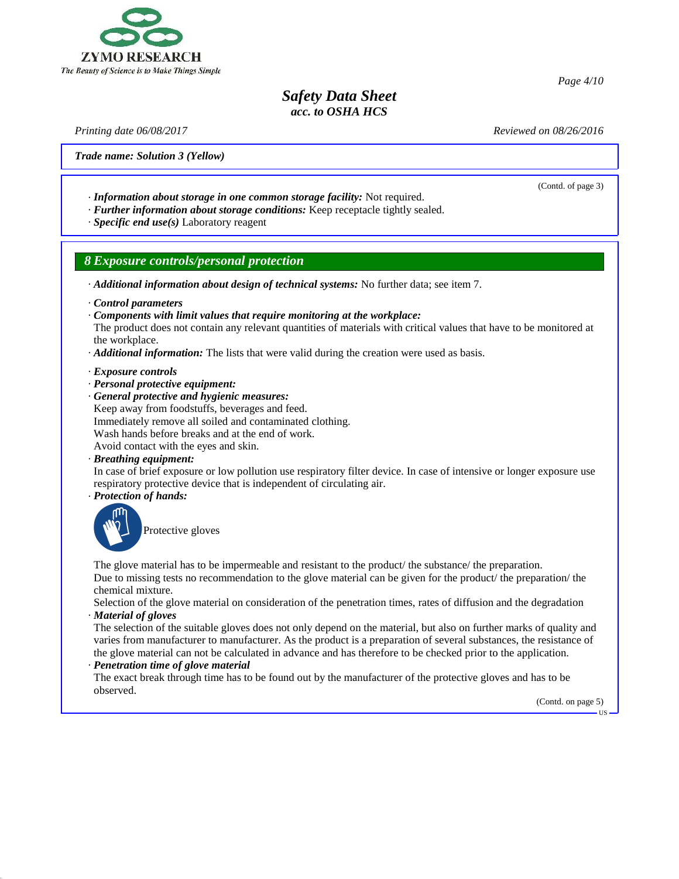

*Printing date 06/08/2017 Reviewed on 08/26/2016*

*Page 4/10*

(Contd. of page 3)

*Trade name: Solution 3 (Yellow)*

- · *Information about storage in one common storage facility:* Not required.
- · *Further information about storage conditions:* Keep receptacle tightly sealed.
- · *Specific end use(s)* Laboratory reagent

#### *8 Exposure controls/personal protection*

- · *Additional information about design of technical systems:* No further data; see item 7.
- · *Control parameters*
- · *Components with limit values that require monitoring at the workplace:*

The product does not contain any relevant quantities of materials with critical values that have to be monitored at the workplace.

- · *Additional information:* The lists that were valid during the creation were used as basis.
- · *Exposure controls*
- · *Personal protective equipment:*
- · *General protective and hygienic measures:*
- Keep away from foodstuffs, beverages and feed.

Immediately remove all soiled and contaminated clothing.

Wash hands before breaks and at the end of work.

Avoid contact with the eyes and skin.

· *Breathing equipment:*

In case of brief exposure or low pollution use respiratory filter device. In case of intensive or longer exposure use respiratory protective device that is independent of circulating air.

· *Protection of hands:*



44.0

The glove material has to be impermeable and resistant to the product/ the substance/ the preparation.

Due to missing tests no recommendation to the glove material can be given for the product/ the preparation/ the chemical mixture.

Selection of the glove material on consideration of the penetration times, rates of diffusion and the degradation · *Material of gloves*

The selection of the suitable gloves does not only depend on the material, but also on further marks of quality and varies from manufacturer to manufacturer. As the product is a preparation of several substances, the resistance of the glove material can not be calculated in advance and has therefore to be checked prior to the application.

#### · *Penetration time of glove material*

The exact break through time has to be found out by the manufacturer of the protective gloves and has to be observed.

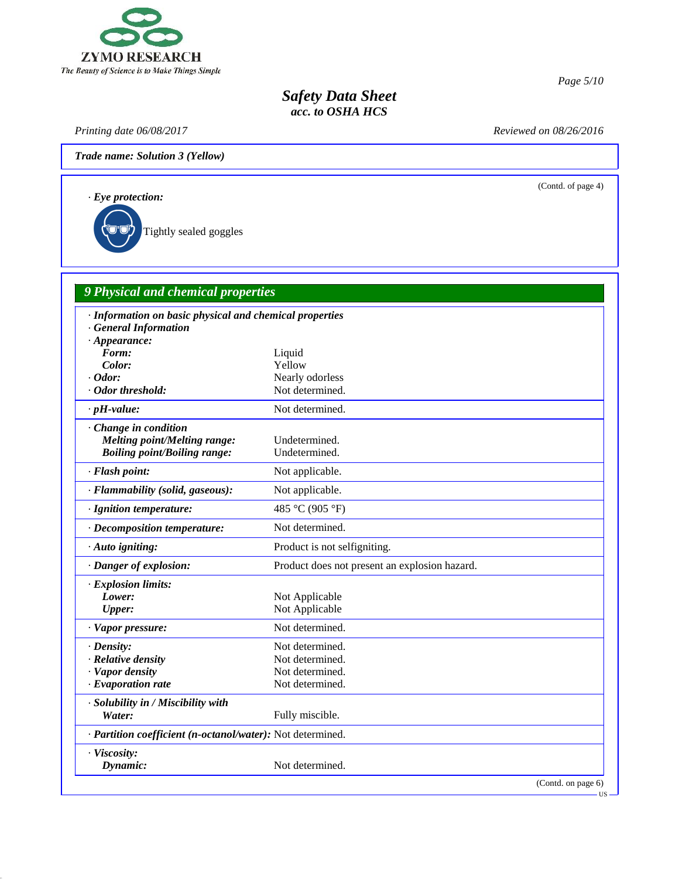

*Printing date 06/08/2017 Reviewed on 08/26/2016*

*Trade name: Solution 3 (Yellow)*

· *Eye protection:*

44.0

Tightly sealed goggles

| · Information on basic physical and chemical properties    |                                               |  |
|------------------------------------------------------------|-----------------------------------------------|--|
| <b>General Information</b>                                 |                                               |  |
| $\cdot$ Appearance:                                        |                                               |  |
| Form:                                                      | Liquid                                        |  |
| Color:                                                     | Yellow                                        |  |
| $\cdot$ Odor:                                              | Nearly odorless                               |  |
| · Odor threshold:                                          | Not determined.                               |  |
| $\cdot$ pH-value:                                          | Not determined.                               |  |
| Change in condition                                        |                                               |  |
| Melting point/Melting range:                               | Undetermined.                                 |  |
| <b>Boiling point/Boiling range:</b>                        | Undetermined.                                 |  |
| · Flash point:                                             | Not applicable.                               |  |
| · Flammability (solid, gaseous):                           | Not applicable.                               |  |
| · Ignition temperature:                                    | 485 °C (905 °F)                               |  |
| · Decomposition temperature:                               | Not determined.                               |  |
| · Auto igniting:                                           | Product is not selfigniting.                  |  |
| Danger of explosion:                                       | Product does not present an explosion hazard. |  |
| · Explosion limits:                                        |                                               |  |
| Lower:                                                     | Not Applicable                                |  |
| <b>Upper:</b>                                              | Not Applicable                                |  |
| · Vapor pressure:                                          | Not determined.                               |  |
| $\cdot$ Density:                                           | Not determined.                               |  |
| · Relative density                                         | Not determined.                               |  |
| · Vapor density                                            | Not determined.                               |  |
| $\cdot$ Evaporation rate                                   | Not determined.                               |  |
| · Solubility in / Miscibility with                         |                                               |  |
| Water:                                                     | Fully miscible.                               |  |
| · Partition coefficient (n-octanol/water): Not determined. |                                               |  |
| · Viscosity:                                               |                                               |  |
| Dynamic:                                                   | Not determined.                               |  |

(Contd. of page 4)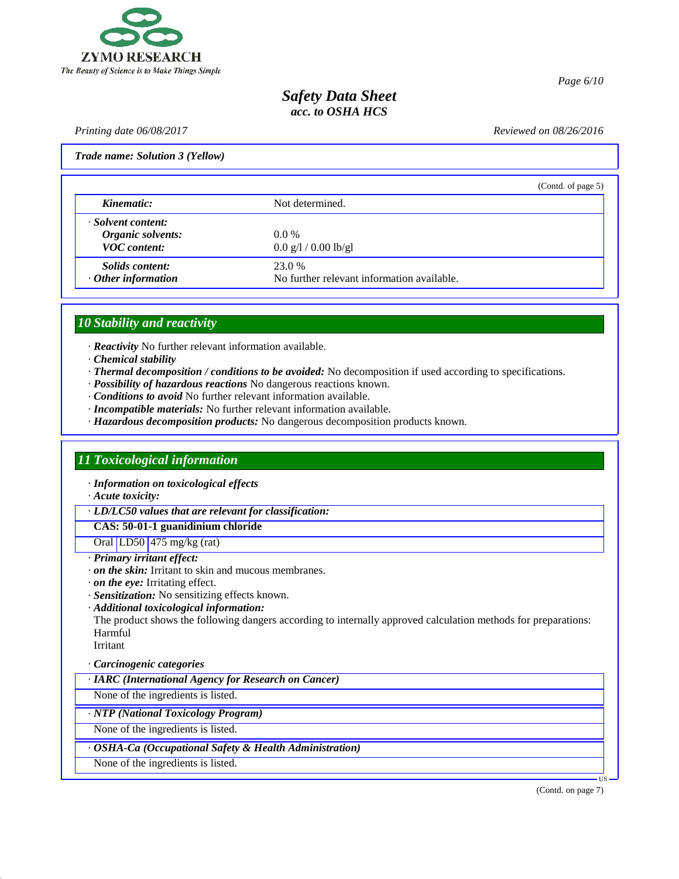

*Printing date 06/08/2017 Reviewed on 08/26/2016*

#### *Trade name: Solution 3 (Yellow)*

|                                                                | (Contd. of page 5)                                   |  |
|----------------------------------------------------------------|------------------------------------------------------|--|
| Kinematic:                                                     | Not determined.                                      |  |
| · Solvent content:<br>Organic solvents:<br><b>VOC</b> content: | $0.0\%$<br>$0.0$ g/l / $0.00$ lb/gl                  |  |
| <i>Solids content:</i><br>$\cdot$ Other information            | 23.0 %<br>No further relevant information available. |  |

### *10 Stability and reactivity*

· *Reactivity* No further relevant information available.

- · *Chemical stability*
- · *Thermal decomposition / conditions to be avoided:* No decomposition if used according to specifications.
- · *Possibility of hazardous reactions* No dangerous reactions known.
- · *Conditions to avoid* No further relevant information available.
- · *Incompatible materials:* No further relevant information available.
- · *Hazardous decomposition products:* No dangerous decomposition products known.

### *11 Toxicological information*

· *Information on toxicological effects*

· *Acute toxicity:*

· *LD/LC50 values that are relevant for classification:*

**CAS: 50-01-1 guanidinium chloride**

Oral LD50 475 mg/kg (rat)

· *Primary irritant effect:*

- · *on the skin:* Irritant to skin and mucous membranes.
- · *on the eye:* Irritating effect.
- · *Sensitization:* No sensitizing effects known.
- · *Additional toxicological information:*

The product shows the following dangers according to internally approved calculation methods for preparations: Harmful

Irritant

44.0

· *Carcinogenic categories*

· *IARC (International Agency for Research on Cancer)*

None of the ingredients is listed.

· *NTP (National Toxicology Program)*

None of the ingredients is listed.

· *OSHA-Ca (Occupational Safety & Health Administration)*

None of the ingredients is listed.

(Contd. on page 7)

 $\overline{US}$   $\longrightarrow$ 

*Page 6/10*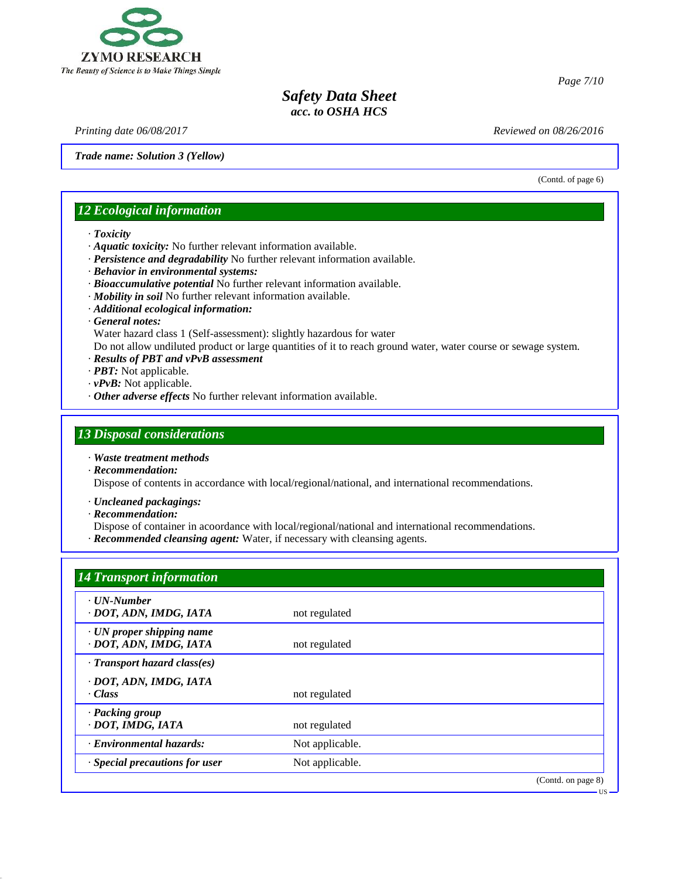

*Printing date 06/08/2017 Reviewed on 08/26/2016*

*Trade name: Solution 3 (Yellow)*

#### (Contd. of page 6)

*Page 7/10*

## *12 Ecological information*

- · *Toxicity*
- · *Aquatic toxicity:* No further relevant information available.
- · *Persistence and degradability* No further relevant information available.
- · *Behavior in environmental systems:*
- · *Bioaccumulative potential* No further relevant information available.
- · *Mobility in soil* No further relevant information available.
- · *Additional ecological information:*
- · *General notes:*

Water hazard class 1 (Self-assessment): slightly hazardous for water

Do not allow undiluted product or large quantities of it to reach ground water, water course or sewage system.

- · *Results of PBT and vPvB assessment*
- · *PBT:* Not applicable.
- · *vPvB:* Not applicable.
- · *Other adverse effects* No further relevant information available.

### *13 Disposal considerations*

- · *Waste treatment methods*
- · *Recommendation:*

Dispose of contents in accordance with local/regional/national, and international recommendations.

- · *Uncleaned packagings:*
- · *Recommendation:*

44.0

- Dispose of container in acoordance with local/regional/national and international recommendations.
- · *Recommended cleansing agent:* Water, if necessary with cleansing agents.

# *14 Transport information*

| $\cdot$ UN-Number<br>· DOT, ADN, IMDG, IATA               | not regulated   |                    |
|-----------------------------------------------------------|-----------------|--------------------|
| $\cdot$ UN proper shipping name<br>· DOT, ADN, IMDG, IATA | not regulated   |                    |
| $\cdot$ Transport hazard class(es)                        |                 |                    |
| · DOT, ADN, IMDG, IATA                                    |                 |                    |
| · Class                                                   | not regulated   |                    |
| · Packing group                                           |                 |                    |
| · DOT, IMDG, IATA                                         | not regulated   |                    |
| · Environmental hazards:                                  | Not applicable. |                    |
| · Special precautions for user                            | Not applicable. |                    |
|                                                           |                 | (Contd. on page 8) |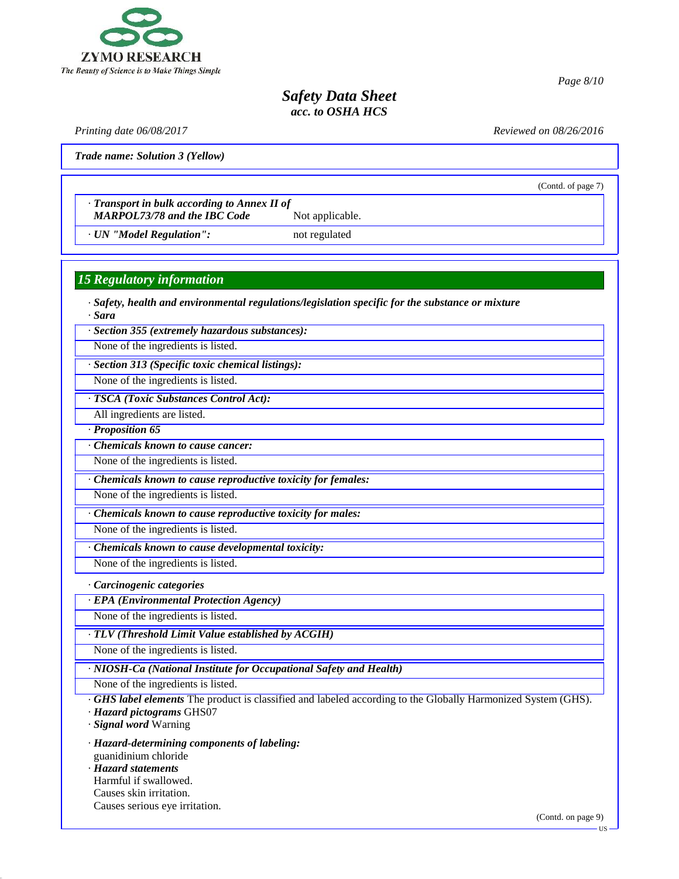

*Printing date 06/08/2017 Reviewed on 08/26/2016*

*Trade name: Solution 3 (Yellow)*

· *Transport in bulk according to Annex II of*

*MARPOL73/78 and the IBC Code* Not applicable.

· *UN "Model Regulation":* not regulated

#### *15 Regulatory information*

· *Safety, health and environmental regulations/legislation specific for the substance or mixture* · *Sara*

· *Section 355 (extremely hazardous substances):*

None of the ingredients is listed.

· *Section 313 (Specific toxic chemical listings):*

None of the ingredients is listed.

· *TSCA (Toxic Substances Control Act):* All ingredients are listed.

· *Proposition 65*

· *Chemicals known to cause cancer:*

None of the ingredients is listed.

· *Chemicals known to cause reproductive toxicity for females:*

None of the ingredients is listed.

· *Chemicals known to cause reproductive toxicity for males:*

None of the ingredients is listed.

· *Chemicals known to cause developmental toxicity:*

None of the ingredients is listed.

· *Carcinogenic categories*

· *EPA (Environmental Protection Agency)*

None of the ingredients is listed.

· *TLV (Threshold Limit Value established by ACGIH)*

None of the ingredients is listed.

· *NIOSH-Ca (National Institute for Occupational Safety and Health)*

None of the ingredients is listed.

· *GHS label elements* The product is classified and labeled according to the Globally Harmonized System (GHS).

· *Hazard pictograms* GHS07

· *Signal word* Warning

· *Hazard-determining components of labeling:*

guanidinium chloride

· *Hazard statements*

44.0

Harmful if swallowed. Causes skin irritation.

Causes serious eye irritation.

(Contd. of page 7)

*Page 8/10*

(Contd. on page 9)

**TIS**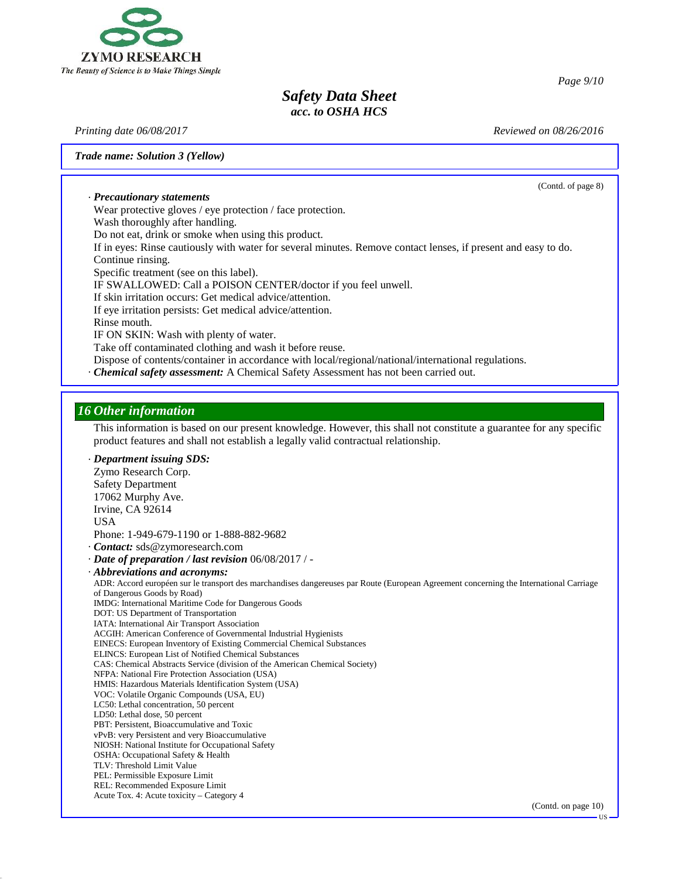

*Printing date 06/08/2017 Reviewed on 08/26/2016*

*Page 9/10*

(Contd. of page 8)

## *Trade name: Solution 3 (Yellow)*

#### · *Precautionary statements*

Wear protective gloves / eye protection / face protection.

Wash thoroughly after handling.

Do not eat, drink or smoke when using this product.

If in eyes: Rinse cautiously with water for several minutes. Remove contact lenses, if present and easy to do. Continue rinsing.

Specific treatment (see on this label).

IF SWALLOWED: Call a POISON CENTER/doctor if you feel unwell.

If skin irritation occurs: Get medical advice/attention.

If eye irritation persists: Get medical advice/attention.

Rinse mouth.

IF ON SKIN: Wash with plenty of water.

Take off contaminated clothing and wash it before reuse.

Dispose of contents/container in accordance with local/regional/national/international regulations.

· *Chemical safety assessment:* A Chemical Safety Assessment has not been carried out.

### *16 Other information*

· *Department issuing SDS:*

44.0

This information is based on our present knowledge. However, this shall not constitute a guarantee for any specific product features and shall not establish a legally valid contractual relationship.

#### Zymo Research Corp. Safety Department 17062 Murphy Ave. Irvine, CA 92614 **USA** Phone: 1-949-679-1190 or 1-888-882-9682 · *Contact:* sds@zymoresearch.com · *Date of preparation / last revision* 06/08/2017 / - · *Abbreviations and acronyms:* ADR: Accord européen sur le transport des marchandises dangereuses par Route (European Agreement concerning the International Carriage of Dangerous Goods by Road) IMDG: International Maritime Code for Dangerous Goods DOT: US Department of Transportation IATA: International Air Transport Association ACGIH: American Conference of Governmental Industrial Hygienists EINECS: European Inventory of Existing Commercial Chemical Substances ELINCS: European List of Notified Chemical Substances CAS: Chemical Abstracts Service (division of the American Chemical Society) NFPA: National Fire Protection Association (USA) HMIS: Hazardous Materials Identification System (USA) VOC: Volatile Organic Compounds (USA, EU) LC50: Lethal concentration, 50 percent LD50: Lethal dose, 50 percent PBT: Persistent, Bioaccumulative and Toxic vPvB: very Persistent and very Bioaccumulative NIOSH: National Institute for Occupational Safety OSHA: Occupational Safety & Health TLV: Threshold Limit Value PEL: Permissible Exposure Limit REL: Recommended Exposure Limit Acute Tox. 4: Acute toxicity – Category 4 (Contd. on page 10)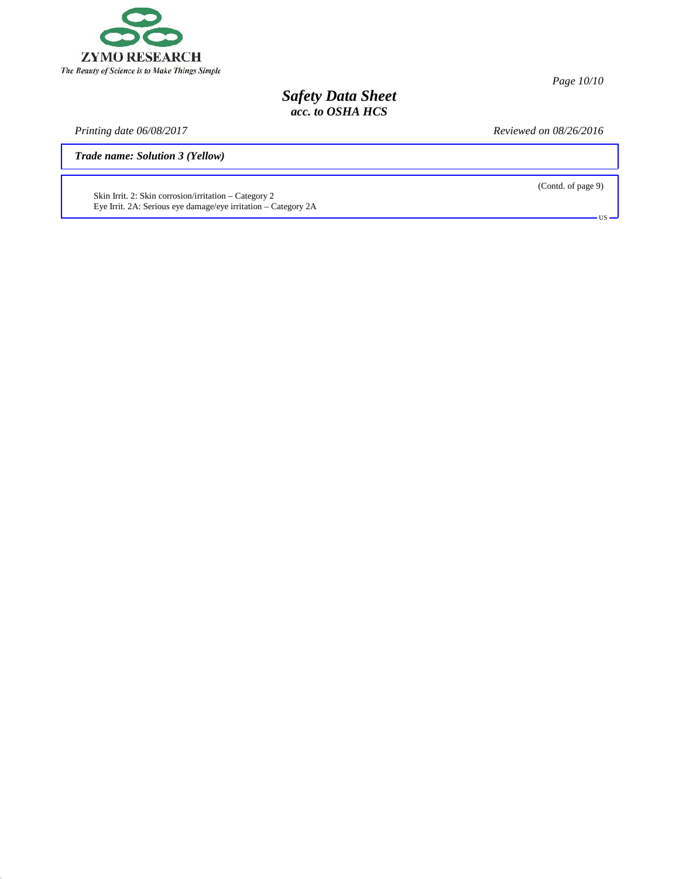

*Page 10/10*

# *Safety Data Sheet acc. to OSHA HCS*

*Printing date 06/08/2017 Reviewed on 08/26/2016*

44.0

#### *Trade name: Solution 3 (Yellow)*

Skin Irrit. 2: Skin corrosion/irritation – Category 2 Eye Irrit. 2A: Serious eye damage/eye irritation – Category 2A

(Contd. of page 9)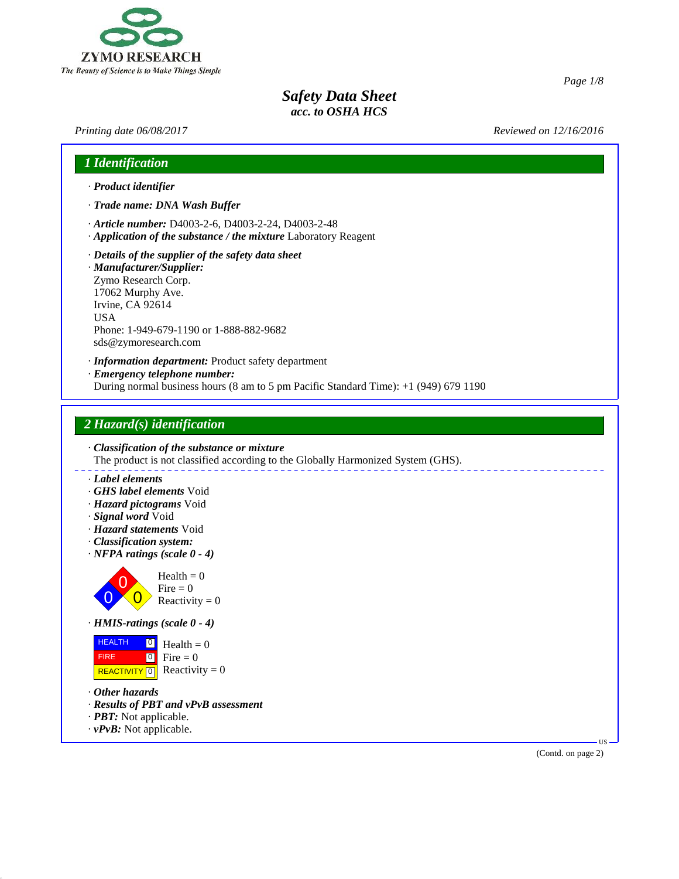

44.0

*Page 1/8*

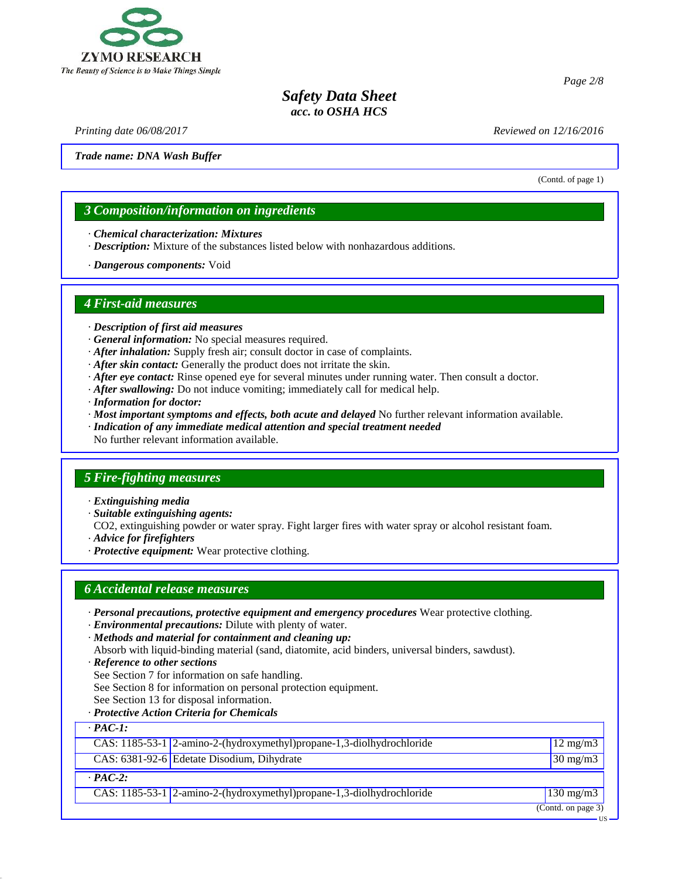

*Printing date 06/08/2017 Reviewed on 12/16/2016*

*Trade name: DNA Wash Buffer*

(Contd. of page 1)

*Page 2/8*

### *3 Composition/information on ingredients*

- · *Chemical characterization: Mixtures*
- · *Description:* Mixture of the substances listed below with nonhazardous additions.
- · *Dangerous components:* Void

#### *4 First-aid measures*

- · *Description of first aid measures*
- · *General information:* No special measures required.
- · *After inhalation:* Supply fresh air; consult doctor in case of complaints.
- · *After skin contact:* Generally the product does not irritate the skin.
- · *After eye contact:* Rinse opened eye for several minutes under running water. Then consult a doctor.
- · *After swallowing:* Do not induce vomiting; immediately call for medical help.
- · *Information for doctor:*
- · *Most important symptoms and effects, both acute and delayed* No further relevant information available.
- · *Indication of any immediate medical attention and special treatment needed*
- No further relevant information available.

### *5 Fire-fighting measures*

- · *Extinguishing media*
- · *Suitable extinguishing agents:*
- CO2, extinguishing powder or water spray. Fight larger fires with water spray or alcohol resistant foam.
- · *Advice for firefighters*
- · *Protective equipment:* Wear protective clothing.

### *6 Accidental release measures*

- · *Personal precautions, protective equipment and emergency procedures* Wear protective clothing.
- · *Environmental precautions:* Dilute with plenty of water.
- · *Methods and material for containment and cleaning up:*
- Absorb with liquid-binding material (sand, diatomite, acid binders, universal binders, sawdust).
- · *Reference to other sections*

44.0

- See Section 7 for information on safe handling.
- See Section 8 for information on personal protection equipment.
- See Section 13 for disposal information.
- · *Protective Action Criteria for Chemicals*

| $-$ PAC-1:     |                                                                       |                    |
|----------------|-----------------------------------------------------------------------|--------------------|
|                | CAS: 1185-53-1 2-amino-2-(hydroxymethyl)propane-1,3-diolhydrochloride | $12 \text{ mg/m}$  |
|                | CAS: 6381-92-6 Edetate Disodium, Dihydrate                            | $30 \text{ mg/m}$  |
| $\cdot$ PAC-2: |                                                                       |                    |
|                | CAS: 1185-53-1 2-amino-2-(hydroxymethyl)propane-1,3-diolhydrochloride | $130 \text{ mg/m}$ |
|                |                                                                       | (Contd. on page 3) |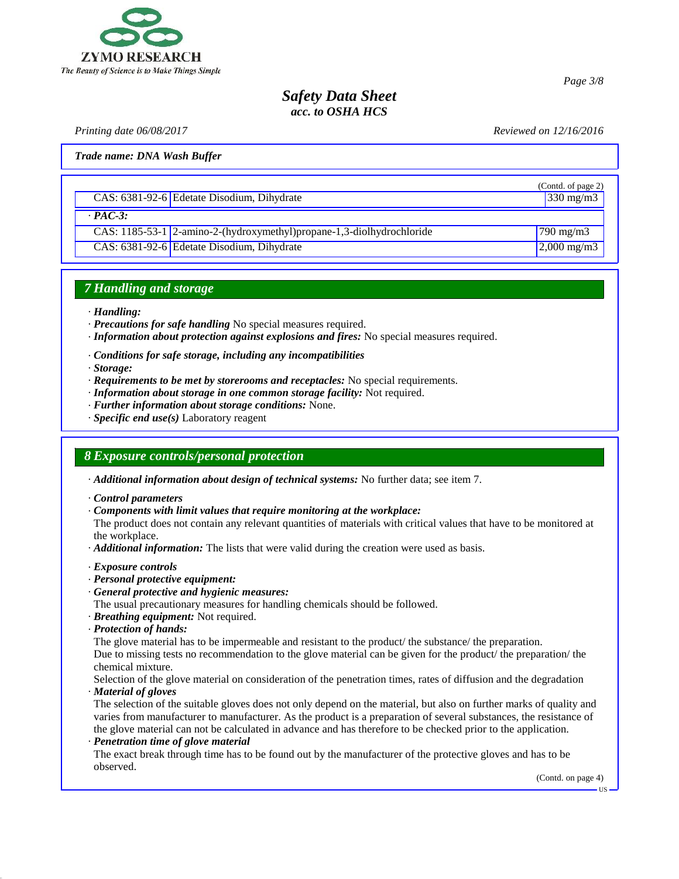

*Printing date 06/08/2017 Reviewed on 12/16/2016*

*Page 3/8*

*Trade name: DNA Wash Buffer*

|            | CAS: 6381-92-6 Edetate Disodium, Dihydrate                             | (Contd. of page 2)<br>$330 \text{ mg/m}$ |
|------------|------------------------------------------------------------------------|------------------------------------------|
| $-$ PAC-3: |                                                                        |                                          |
|            | CAS: 1185-53-1 2-amino-2-(hydroxymethyl) propane-1,3-diolhydrochloride | $1790 \text{ mg/m}$                      |
|            | CAS: 6381-92-6 Edetate Disodium, Dihydrate                             | $2,000 \text{ mg/m}$                     |

### *7 Handling and storage*

- · *Handling:*
- · *Precautions for safe handling* No special measures required.
- · *Information about protection against explosions and fires:* No special measures required.
- · *Conditions for safe storage, including any incompatibilities*
- · *Storage:*
- · *Requirements to be met by storerooms and receptacles:* No special requirements.
- · *Information about storage in one common storage facility:* Not required.
- · *Further information about storage conditions:* None.
- · *Specific end use(s)* Laboratory reagent

### *8 Exposure controls/personal protection*

· *Additional information about design of technical systems:* No further data; see item 7.

- · *Control parameters*
- · *Components with limit values that require monitoring at the workplace:*

The product does not contain any relevant quantities of materials with critical values that have to be monitored at the workplace.

- · *Additional information:* The lists that were valid during the creation were used as basis.
- · *Exposure controls*
- · *Personal protective equipment:*
- · *General protective and hygienic measures:*
- The usual precautionary measures for handling chemicals should be followed.
- · *Breathing equipment:* Not required.
- · *Protection of hands:*

44.0

The glove material has to be impermeable and resistant to the product/ the substance/ the preparation. Due to missing tests no recommendation to the glove material can be given for the product/ the preparation/ the chemical mixture.

Selection of the glove material on consideration of the penetration times, rates of diffusion and the degradation · *Material of gloves*

The selection of the suitable gloves does not only depend on the material, but also on further marks of quality and varies from manufacturer to manufacturer. As the product is a preparation of several substances, the resistance of the glove material can not be calculated in advance and has therefore to be checked prior to the application.

· *Penetration time of glove material*

The exact break through time has to be found out by the manufacturer of the protective gloves and has to be observed.

(Contd. on page 4)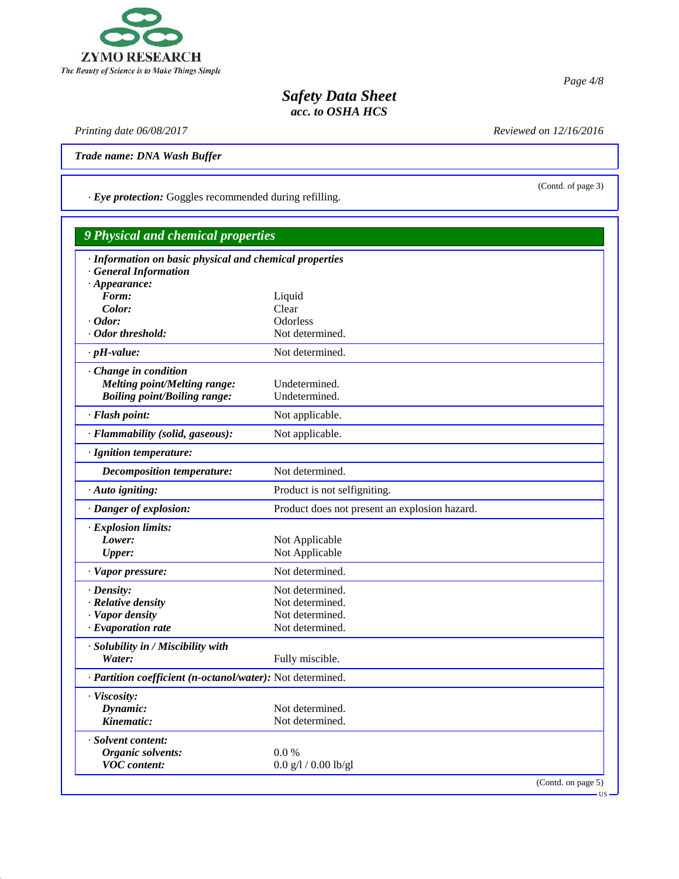

*Printing date 06/08/2017 Reviewed on 12/16/2016*

44.0

*Trade name: DNA Wash Buffer*

· *Eye protection:* Goggles recommended during refilling.

*9 Physical and chemical properties* · *Information on basic physical and chemical properties* · *General Information* · *Appearance:* **Form:**<br> **Color:**<br> **Clear** *Color:* Clear · *Odor:* Odorless · *Odor threshold:* Not determined. · *pH*-value: Not determined. · *Change in condition Melting point/Melting range:* Undetermined.  $B\text{oiling point}/B\text{oiling range:}$ · **Flash point:** Not applicable. · *Flammability (solid, gaseous):* Not applicable. · *Ignition temperature: Decomposition temperature:* Not determined. · *Auto igniting*: Product is not selfigniting. · *Danger of explosion:* Product does not present an explosion hazard. · *Explosion limits: Lower:* Not Applicable *Upper:* Not Applicable · *Vapor pressure:* Not determined. · *Density:* Not determined. · *Relative density* Not determined. · *Vapor density* Not determined. · *Evaporation rate* Not determined. · *Solubility in / Miscibility with* **Water:** Fully miscible. · *Partition coefficient (n-octanol/water):* Not determined. · *Viscosity: Dynamic:* Not determined. **Kinematic:** Not determined. · *Solvent content: Organic solvents:* 0.0 % *VOC content:* 0.0 g/l / 0.00 lb/gl (Contd. on page 5)

*Page 4/8*

(Contd. of page 3)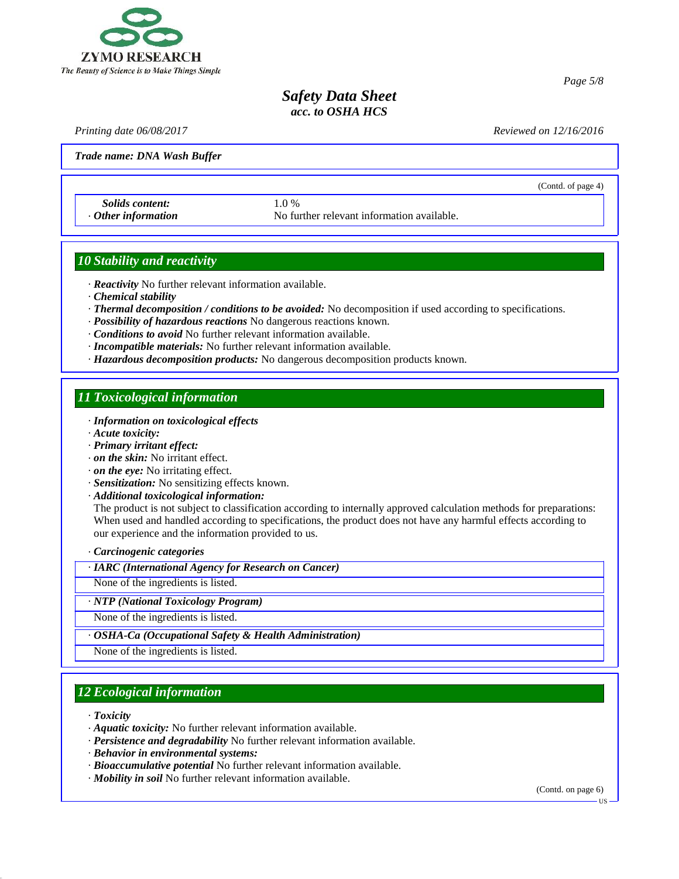

*Printing date 06/08/2017 Reviewed on 12/16/2016*

(Contd. of page 4)

*Trade name: DNA Wash Buffer*

*Solids content:* 1.0 %

• *Other information* No further relevant information available.

### *10 Stability and reactivity*

· *Reactivity* No further relevant information available.

- · *Chemical stability*
- · *Thermal decomposition / conditions to be avoided:* No decomposition if used according to specifications.
- · *Possibility of hazardous reactions* No dangerous reactions known.
- · *Conditions to avoid* No further relevant information available.
- · *Incompatible materials:* No further relevant information available.
- · *Hazardous decomposition products:* No dangerous decomposition products known.

### *11 Toxicological information*

- · *Information on toxicological effects*
- · *Acute toxicity:*
- · *Primary irritant effect:*
- · *on the skin:* No irritant effect.
- · *on the eye:* No irritating effect.
- · *Sensitization:* No sensitizing effects known.
- · *Additional toxicological information:*

The product is not subject to classification according to internally approved calculation methods for preparations: When used and handled according to specifications, the product does not have any harmful effects according to our experience and the information provided to us.

· *Carcinogenic categories*

#### · *IARC (International Agency for Research on Cancer)*

None of the ingredients is listed.

### · *NTP (National Toxicology Program)*

None of the ingredients is listed.

· *OSHA-Ca (Occupational Safety & Health Administration)*

None of the ingredients is listed.

### *12 Ecological information*

· *Toxicity*

44.0

- · *Aquatic toxicity:* No further relevant information available.
- · *Persistence and degradability* No further relevant information available.
- · *Behavior in environmental systems:*
- · *Bioaccumulative potential* No further relevant information available.
- · *Mobility in soil* No further relevant information available.

(Contd. on page 6)

US

*Page 5/8*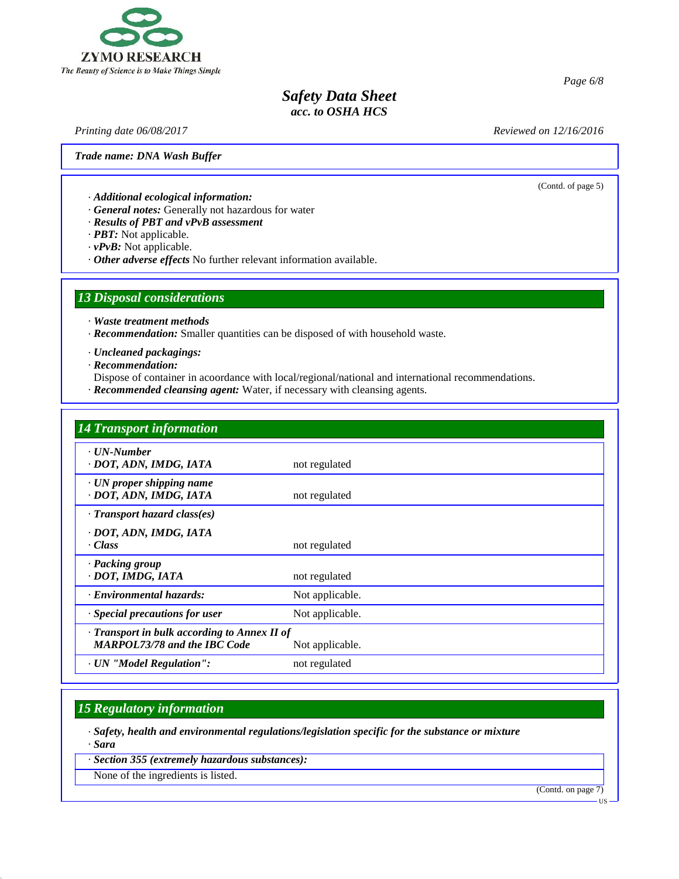

*Printing date 06/08/2017 Reviewed on 12/16/2016*

(Contd. of page 5)

*Trade name: DNA Wash Buffer*

· *Additional ecological information:*

· *General notes:* Generally not hazardous for water

· *Results of PBT and vPvB assessment*

· *PBT:* Not applicable.

· *vPvB:* Not applicable.

· *Other adverse effects* No further relevant information available.

*13 Disposal considerations*

· *Waste treatment methods*

· *Recommendation:* Smaller quantities can be disposed of with household waste.

· *Uncleaned packagings:*

· *Recommendation:*

Dispose of container in acoordance with local/regional/national and international recommendations.

· *Recommended cleansing agent:* Water, if necessary with cleansing agents.

| <b>14 Transport information</b>                                                     |                 |
|-------------------------------------------------------------------------------------|-----------------|
| · UN-Number<br>· DOT, ADN, IMDG, IATA                                               | not regulated   |
| $\cdot$ UN proper shipping name<br>· DOT, ADN, IMDG, IATA                           | not regulated   |
| $\cdot$ Transport hazard class(es)                                                  |                 |
| · DOT, ADN, IMDG, IATA<br>- Class                                                   | not regulated   |
| · Packing group<br>· DOT, IMDG, IATA                                                | not regulated   |
| · Environmental hazards:                                                            | Not applicable. |
| · Special precautions for user                                                      | Not applicable. |
| · Transport in bulk according to Annex II of<br><b>MARPOL73/78 and the IBC Code</b> | Not applicable. |
| · UN "Model Regulation":                                                            | not regulated   |

# *15 Regulatory information*

44.0

· *Safety, health and environmental regulations/legislation specific for the substance or mixture* · *Sara*

· *Section 355 (extremely hazardous substances):*

None of the ingredients is listed.

(Contd. on page 7)

US

*Page 6/8*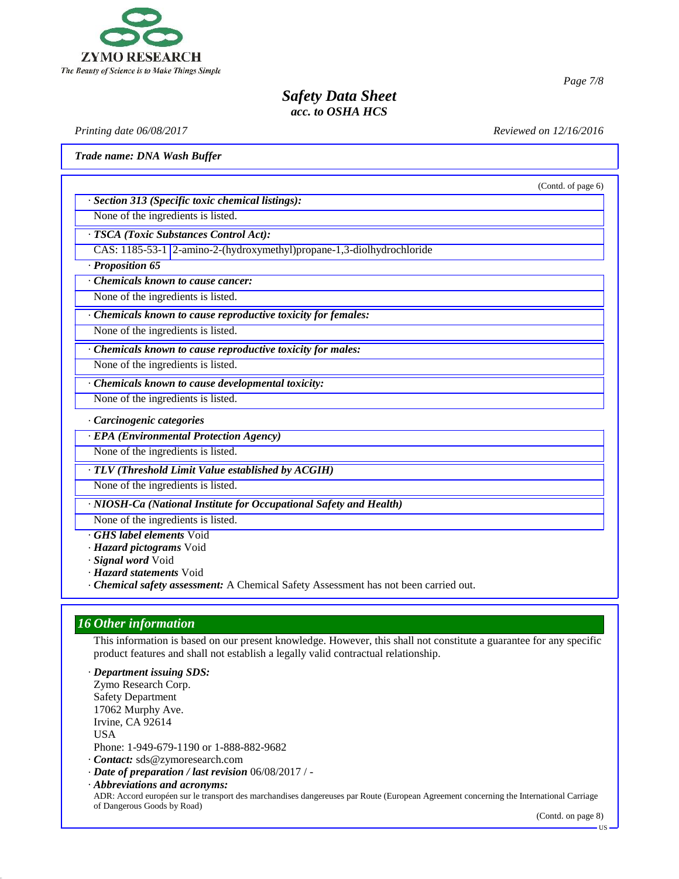

*Printing date 06/08/2017 Reviewed on 12/16/2016*

(Contd. of page 6)

*Page 7/8*

*Trade name: DNA Wash Buffer*

| · Section 313 (Specific toxic chemical listings): |  |
|---------------------------------------------------|--|

None of the ingredients is listed.

· *TSCA (Toxic Substances Control Act):*

CAS: 1185-53-1 2-amino-2-(hydroxymethyl)propane-1,3-diolhydrochloride

· *Proposition 65*

· *Chemicals known to cause cancer:*

None of the ingredients is listed.

· *Chemicals known to cause reproductive toxicity for females:*

None of the ingredients is listed.

· *Chemicals known to cause reproductive toxicity for males:*

None of the ingredients is listed.

· *Chemicals known to cause developmental toxicity:*

None of the ingredients is listed.

· *Carcinogenic categories*

· *EPA (Environmental Protection Agency)*

None of the ingredients is listed.

· *TLV (Threshold Limit Value established by ACGIH)*

None of the ingredients is listed.

· *NIOSH-Ca (National Institute for Occupational Safety and Health)*

None of the ingredients is listed.

- · *GHS label elements* Void
- · *Hazard pictograms* Void
- · *Signal word* Void
- · *Hazard statements* Void
- · *Chemical safety assessment:* A Chemical Safety Assessment has not been carried out.

### *16 Other information*

44.0

This information is based on our present knowledge. However, this shall not constitute a guarantee for any specific product features and shall not establish a legally valid contractual relationship.

· *Department issuing SDS:* Zymo Research Corp. Safety Department 17062 Murphy Ave. Irvine, CA 92614 USA Phone: 1-949-679-1190 or 1-888-882-9682 · *Contact:* sds@zymoresearch.com · *Date of preparation / last revision* 06/08/2017 / - · *Abbreviations and acronyms:* ADR: Accord européen sur le transport des marchandises dangereuses par Route (European Agreement concerning the International Carriage of Dangerous Goods by Road)

US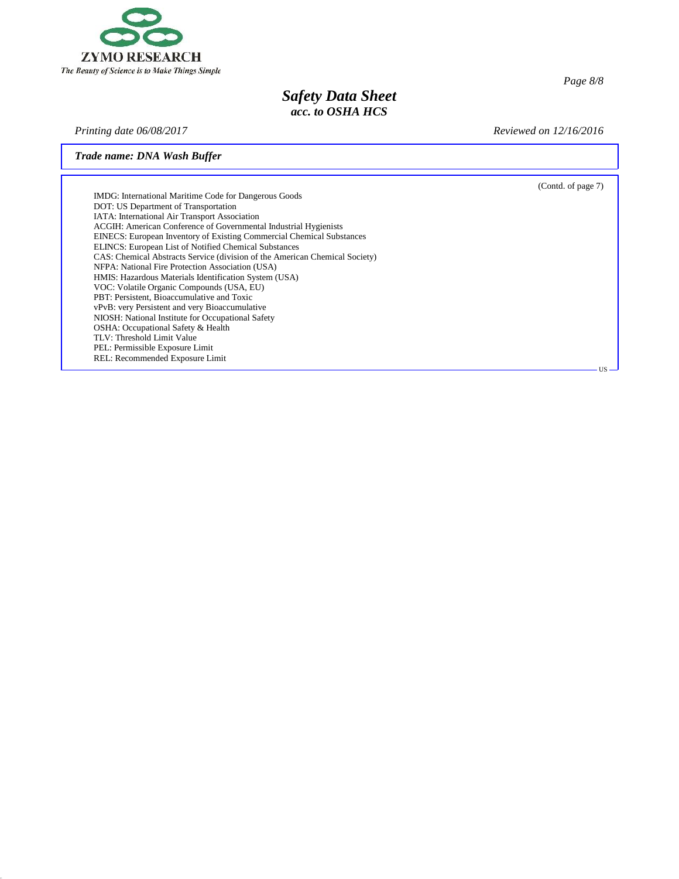

*Printing date 06/08/2017 Reviewed on 12/16/2016*

44.0

#### *Trade name: DNA Wash Buffer*

IMDG: International Maritime Code for Dangerous Goods DOT: US Department of Transportation IATA: International Air Transport Association ACGIH: American Conference of Governmental Industrial Hygienists EINECS: European Inventory of Existing Commercial Chemical Substances ELINCS: European List of Notified Chemical Substances CAS: Chemical Abstracts Service (division of the American Chemical Society) NFPA: National Fire Protection Association (USA) HMIS: Hazardous Materials Identification System (USA) VOC: Volatile Organic Compounds (USA, EU) PBT: Persistent, Bioaccumulative and Toxic vPvB: very Persistent and very Bioaccumulative NIOSH: National Institute for Occupational Safety OSHA: Occupational Safety & Health TLV: Threshold Limit Value PEL: Permissible Exposure Limit REL: Recommended Exposure Limit

(Contd. of page 7)

US

*Page 8/8*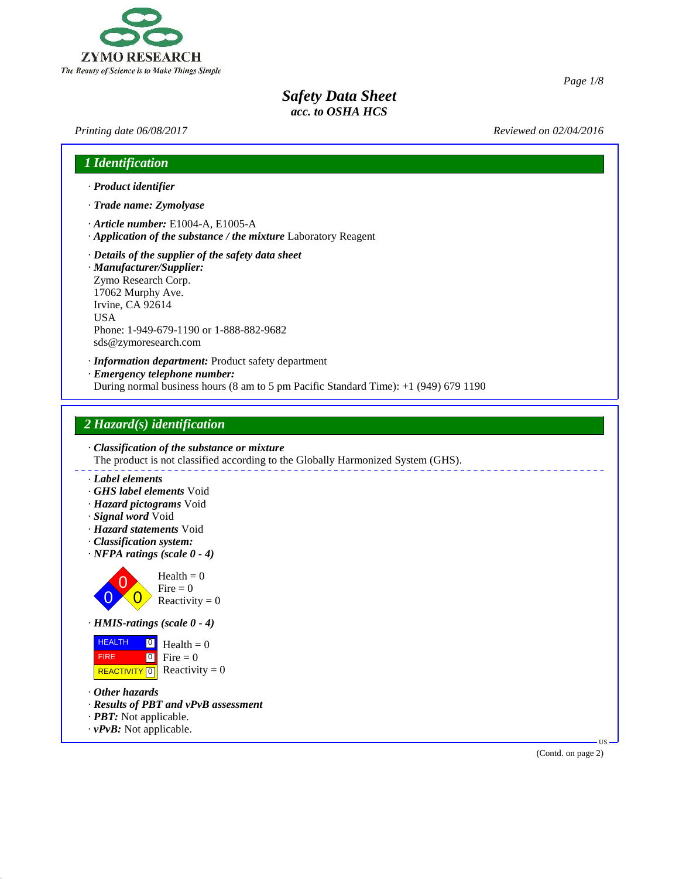

44.0

*Page 1/8*

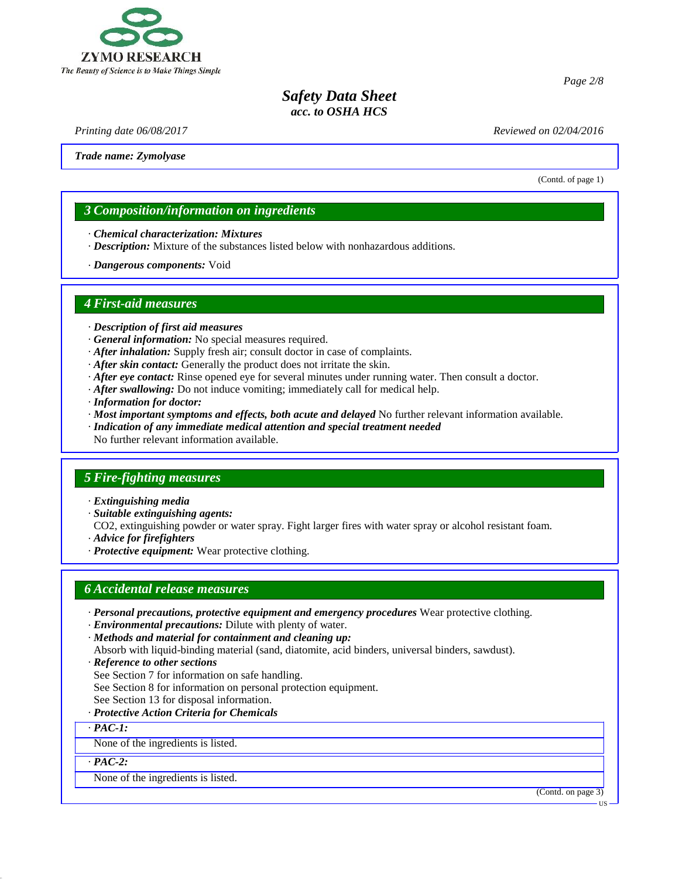

*Printing date 06/08/2017 Reviewed on 02/04/2016*

*Trade name: Zymolyase*

(Contd. of page 1)

*Page 2/8*

### *3 Composition/information on ingredients*

- · *Chemical characterization: Mixtures*
- · *Description:* Mixture of the substances listed below with nonhazardous additions.
- · *Dangerous components:* Void

#### *4 First-aid measures*

- · *Description of first aid measures*
- · *General information:* No special measures required.
- · *After inhalation:* Supply fresh air; consult doctor in case of complaints.
- · *After skin contact:* Generally the product does not irritate the skin.
- · *After eye contact:* Rinse opened eye for several minutes under running water. Then consult a doctor.
- · *After swallowing:* Do not induce vomiting; immediately call for medical help.
- · *Information for doctor:*
- · *Most important symptoms and effects, both acute and delayed* No further relevant information available.
- · *Indication of any immediate medical attention and special treatment needed*
- No further relevant information available.

### *5 Fire-fighting measures*

- · *Extinguishing media*
- · *Suitable extinguishing agents:*
- CO2, extinguishing powder or water spray. Fight larger fires with water spray or alcohol resistant foam.
- · *Advice for firefighters*
- · *Protective equipment:* Wear protective clothing.

### *6 Accidental release measures*

- · *Personal precautions, protective equipment and emergency procedures* Wear protective clothing.
- · *Environmental precautions:* Dilute with plenty of water.
- · *Methods and material for containment and cleaning up:*
- Absorb with liquid-binding material (sand, diatomite, acid binders, universal binders, sawdust).
- · *Reference to other sections*
- See Section 7 for information on safe handling.
- See Section 8 for information on personal protection equipment.
- See Section 13 for disposal information.
- · *Protective Action Criteria for Chemicals*

· *PAC-1:*

None of the ingredients is listed.

· *PAC-2:*

44.0

None of the ingredients is listed.

(Contd. on page 3)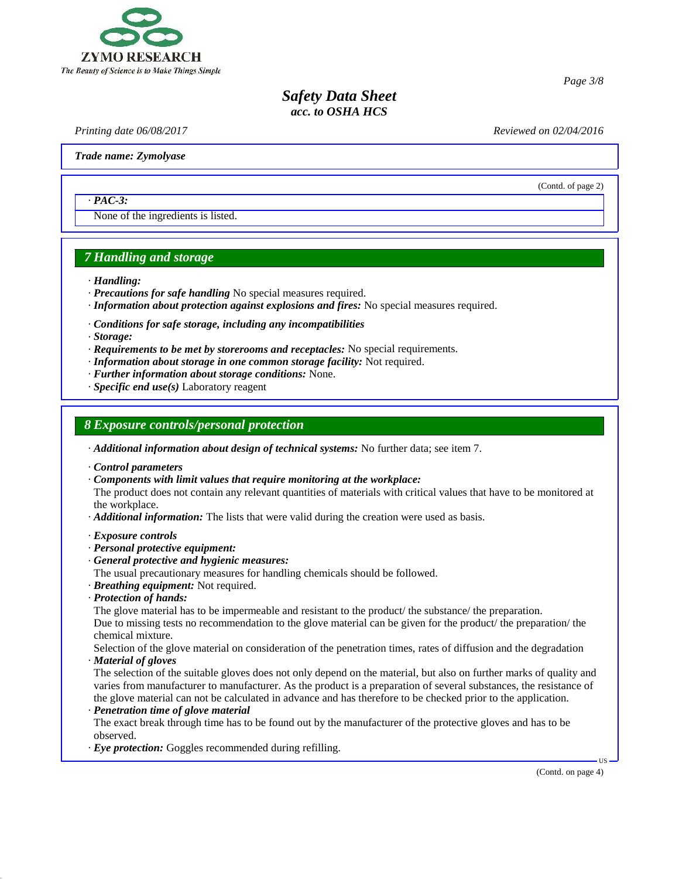

*Printing date 06/08/2017 Reviewed on 02/04/2016*

(Contd. of page 2)

#### *Trade name: Zymolyase*

#### · *PAC-3:*

None of the ingredients is listed.

### *7 Handling and storage*

#### · *Handling:*

- · *Precautions for safe handling* No special measures required.
- · *Information about protection against explosions and fires:* No special measures required.
- · *Conditions for safe storage, including any incompatibilities*

· *Storage:*

- · *Requirements to be met by storerooms and receptacles:* No special requirements.
- · *Information about storage in one common storage facility:* Not required.
- · *Further information about storage conditions:* None.
- · *Specific end use(s)* Laboratory reagent

### *8 Exposure controls/personal protection*

· *Additional information about design of technical systems:* No further data; see item 7.

- · *Control parameters*
- · *Components with limit values that require monitoring at the workplace:*

The product does not contain any relevant quantities of materials with critical values that have to be monitored at the workplace.

- · *Additional information:* The lists that were valid during the creation were used as basis.
- · *Exposure controls*
- · *Personal protective equipment:*
- · *General protective and hygienic measures:*

The usual precautionary measures for handling chemicals should be followed.

- · *Breathing equipment:* Not required.
- · *Protection of hands:*

44.0

The glove material has to be impermeable and resistant to the product/ the substance/ the preparation. Due to missing tests no recommendation to the glove material can be given for the product/ the preparation/ the chemical mixture.

Selection of the glove material on consideration of the penetration times, rates of diffusion and the degradation · *Material of gloves*

The selection of the suitable gloves does not only depend on the material, but also on further marks of quality and varies from manufacturer to manufacturer. As the product is a preparation of several substances, the resistance of the glove material can not be calculated in advance and has therefore to be checked prior to the application.

· *Penetration time of glove material*

The exact break through time has to be found out by the manufacturer of the protective gloves and has to be observed.

· *Eye protection:* Goggles recommended during refilling.

(Contd. on page 4)

 $\overline{\mathbf{u}}$   $\overline{\mathbf{v}}$ 

*Page 3/8*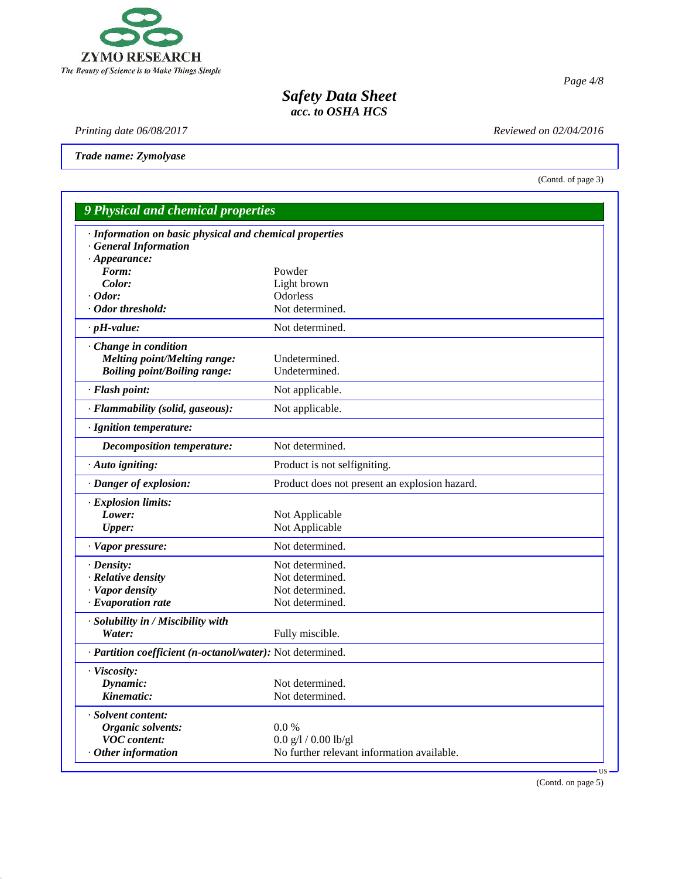

*Trade name: Zymolyase*

44.0

*Printing date 06/08/2017 Reviewed on 02/04/2016*

(Contd. of page 3)

| 9 Physical and chemical properties                                                                           |                                               |
|--------------------------------------------------------------------------------------------------------------|-----------------------------------------------|
| · Information on basic physical and chemical properties<br><b>General Information</b><br>$\cdot$ Appearance: |                                               |
| Form:                                                                                                        | Powder                                        |
| Color:                                                                                                       | Light brown                                   |
| $\cdot$ Odor:                                                                                                | Odorless                                      |
| · Odor threshold:                                                                                            | Not determined.                               |
|                                                                                                              |                                               |
| $\cdot$ pH-value:                                                                                            | Not determined.                               |
| Change in condition<br><b>Melting point/Melting range:</b><br><b>Boiling point/Boiling range:</b>            | Undetermined.<br>Undetermined.                |
| · Flash point:                                                                                               | Not applicable.                               |
| · Flammability (solid, gaseous):                                                                             | Not applicable.                               |
| · Ignition temperature:                                                                                      |                                               |
| <b>Decomposition temperature:</b>                                                                            | Not determined.                               |
| · Auto igniting:                                                                                             | Product is not selfigniting.                  |
| · Danger of explosion:                                                                                       | Product does not present an explosion hazard. |
| · Explosion limits:                                                                                          |                                               |
| Lower:                                                                                                       | Not Applicable                                |
| <b>Upper:</b>                                                                                                | Not Applicable                                |
| · Vapor pressure:                                                                                            | Not determined.                               |
| · Density:                                                                                                   | Not determined.                               |
| · Relative density                                                                                           | Not determined.                               |
| · Vapor density                                                                                              | Not determined.                               |
| $\cdot$ Evaporation rate                                                                                     | Not determined.                               |
| · Solubility in / Miscibility with<br>Water:                                                                 | Fully miscible.                               |
| · Partition coefficient (n-octanol/water): Not determined.                                                   |                                               |
| · Viscosity:                                                                                                 |                                               |
| Dynamic:                                                                                                     | Not determined.                               |
| Kinematic:                                                                                                   | Not determined.                               |
| · Solvent content:                                                                                           |                                               |
| Organic solvents:                                                                                            | $0.0\%$                                       |
| <b>VOC</b> content:                                                                                          | $0.0$ g/l / $0.00$ lb/gl                      |
| Other information                                                                                            | No further relevant information available.    |
|                                                                                                              |                                               |

*Page 4/8*

(Contd. on page 5)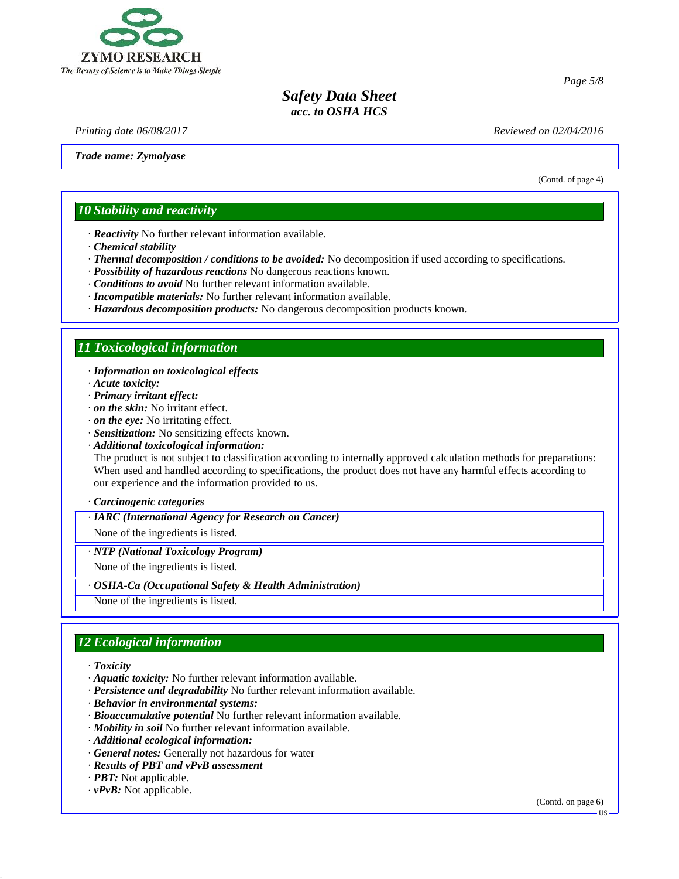

*Printing date 06/08/2017 Reviewed on 02/04/2016*

(Contd. of page 4)

*Page 5/8*

#### *Trade name: Zymolyase*

#### *10 Stability and reactivity*

- · *Reactivity* No further relevant information available.
- · *Chemical stability*
- · *Thermal decomposition / conditions to be avoided:* No decomposition if used according to specifications.
- · *Possibility of hazardous reactions* No dangerous reactions known.
- · *Conditions to avoid* No further relevant information available.
- · *Incompatible materials:* No further relevant information available.
- · *Hazardous decomposition products:* No dangerous decomposition products known.

## *11 Toxicological information*

- · *Information on toxicological effects*
- · *Acute toxicity:*
- · *Primary irritant effect:*
- · *on the skin:* No irritant effect.
- · *on the eye:* No irritating effect.
- · *Sensitization:* No sensitizing effects known.
- · *Additional toxicological information:*

The product is not subject to classification according to internally approved calculation methods for preparations: When used and handled according to specifications, the product does not have any harmful effects according to our experience and the information provided to us.

#### · *Carcinogenic categories*

· *IARC (International Agency for Research on Cancer)*

None of the ingredients is listed.

· *NTP (National Toxicology Program)*

None of the ingredients is listed.

· *OSHA-Ca (Occupational Safety & Health Administration)*

None of the ingredients is listed.

### *12 Ecological information*

· *Toxicity*

44.0

- · *Aquatic toxicity:* No further relevant information available.
- · *Persistence and degradability* No further relevant information available.
- · *Behavior in environmental systems:*
- · *Bioaccumulative potential* No further relevant information available.
- · *Mobility in soil* No further relevant information available.
- · *Additional ecological information:*
- · *General notes:* Generally not hazardous for water
- · *Results of PBT and vPvB assessment*
- · *PBT:* Not applicable.
- · *vPvB:* Not applicable.

(Contd. on page 6)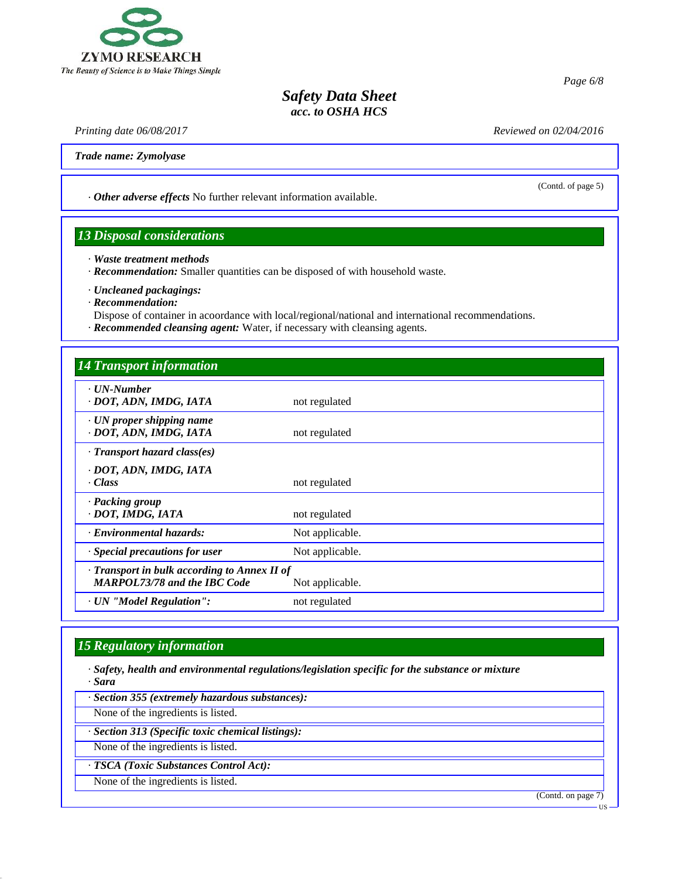

*Printing date 06/08/2017 Reviewed on 02/04/2016*

(Contd. of page 5)

*Page 6/8*

*Trade name: Zymolyase*

· *Other adverse effects* No further relevant information available.

### *13 Disposal considerations*

- · *Waste treatment methods*
- · *Recommendation:* Smaller quantities can be disposed of with household waste.

· *Uncleaned packagings:*

· *Recommendation:*

Dispose of container in acoordance with local/regional/national and international recommendations.

· *Recommended cleansing agent:* Water, if necessary with cleansing agents.

| <b>14 Transport information</b>                                                           |                 |
|-------------------------------------------------------------------------------------------|-----------------|
| . <i>UN-Number</i><br>· DOT, ADN, IMDG, IATA                                              | not regulated   |
| $\cdot$ UN proper shipping name<br>· DOT, ADN, IMDG, IATA                                 | not regulated   |
| $\cdot$ Transport hazard class(es)                                                        |                 |
| · DOT, ADN, IMDG, IATA<br>· Class                                                         | not regulated   |
| · Packing group<br>· DOT, IMDG, IATA                                                      | not regulated   |
| · Environmental hazards:                                                                  | Not applicable. |
| Special precautions for user                                                              | Not applicable. |
| $\cdot$ Transport in bulk according to Annex II of<br><b>MARPOL73/78 and the IBC Code</b> | Not applicable. |
| · UN "Model Regulation":                                                                  | not regulated   |

## *15 Regulatory information*

· *Safety, health and environmental regulations/legislation specific for the substance or mixture* · *Sara*

· *Section 355 (extremely hazardous substances):*

None of the ingredients is listed.

· *Section 313 (Specific toxic chemical listings):*

None of the ingredients is listed.

44.0

· *TSCA (Toxic Substances Control Act):* None of the ingredients is listed.

(Contd. on page 7)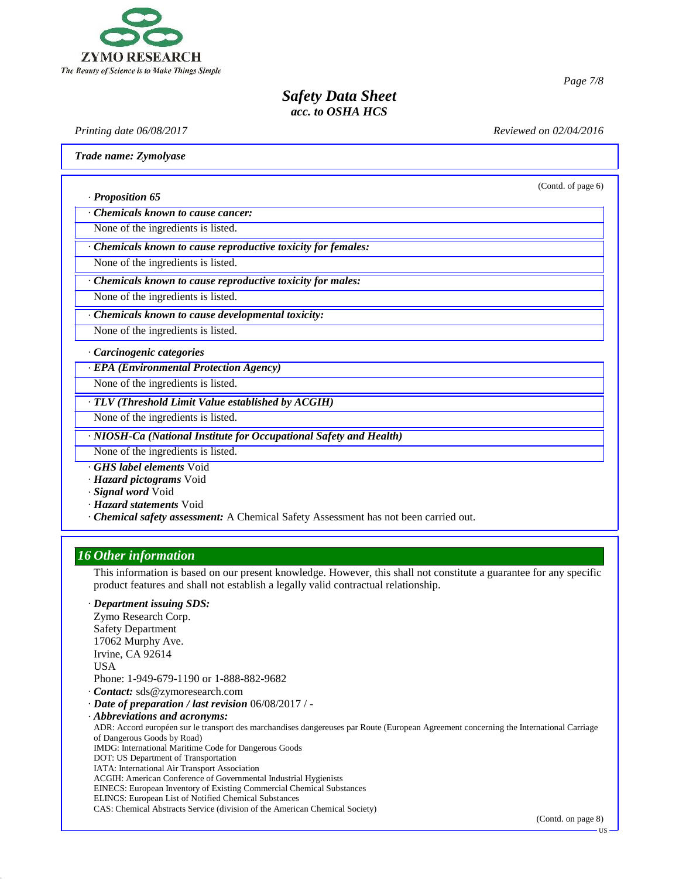

*Printing date 06/08/2017 Reviewed on 02/04/2016*

*Trade name: Zymolyase*

· *Proposition 65*

(Contd. of page 6)

*Page 7/8*

· *Chemicals known to cause cancer:*

None of the ingredients is listed.

· *Chemicals known to cause reproductive toxicity for females:*

None of the ingredients is listed.

· *Chemicals known to cause reproductive toxicity for males:*

None of the ingredients is listed.

· *Chemicals known to cause developmental toxicity:*

None of the ingredients is listed.

· *Carcinogenic categories*

· *EPA (Environmental Protection Agency)*

None of the ingredients is listed.

· *TLV (Threshold Limit Value established by ACGIH)*

None of the ingredients is listed.

· *NIOSH-Ca (National Institute for Occupational Safety and Health)*

None of the ingredients is listed.

· *GHS label elements* Void

· *Hazard pictograms* Void

· *Signal word* Void

· *Hazard statements* Void

· *Chemical safety assessment:* A Chemical Safety Assessment has not been carried out.

#### *16 Other information*

44.0

This information is based on our present knowledge. However, this shall not constitute a guarantee for any specific product features and shall not establish a legally valid contractual relationship.

#### · *Department issuing SDS:*

Zymo Research Corp. Safety Department 17062 Murphy Ave. Irvine, CA 92614 USA Phone: 1-949-679-1190 or 1-888-882-9682 · *Contact:* sds@zymoresearch.com · *Date of preparation / last revision* 06/08/2017 / - · *Abbreviations and acronyms:* ADR: Accord européen sur le transport des marchandises dangereuses par Route (European Agreement concerning the International Carriage of Dangerous Goods by Road) IMDG: International Maritime Code for Dangerous Goods DOT: US Department of Transportation IATA: International Air Transport Association ACGIH: American Conference of Governmental Industrial Hygienists EINECS: European Inventory of Existing Commercial Chemical Substances ELINCS: European List of Notified Chemical Substances CAS: Chemical Abstracts Service (division of the American Chemical Society)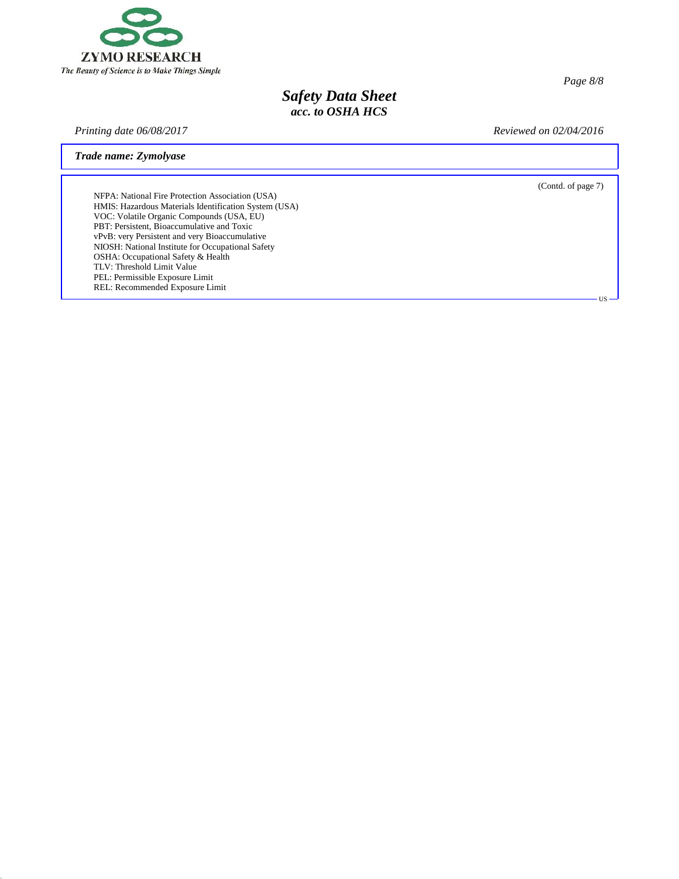

*Printing date 06/08/2017 Reviewed on 02/04/2016*

#### *Trade name: Zymolyase*

44.0

NFPA: National Fire Protection Association (USA) HMIS: Hazardous Materials Identification System (USA) VOC: Volatile Organic Compounds (USA, EU) PBT: Persistent, Bioaccumulative and Toxic vPvB: very Persistent and very Bioaccumulative NIOSH: National Institute for Occupational Safety OSHA: Occupational Safety & Health TLV: Threshold Limit Value PEL: Permissible Exposure Limit REL: Recommended Exposure Limit

(Contd. of page 7)

US

### *Page 8/8*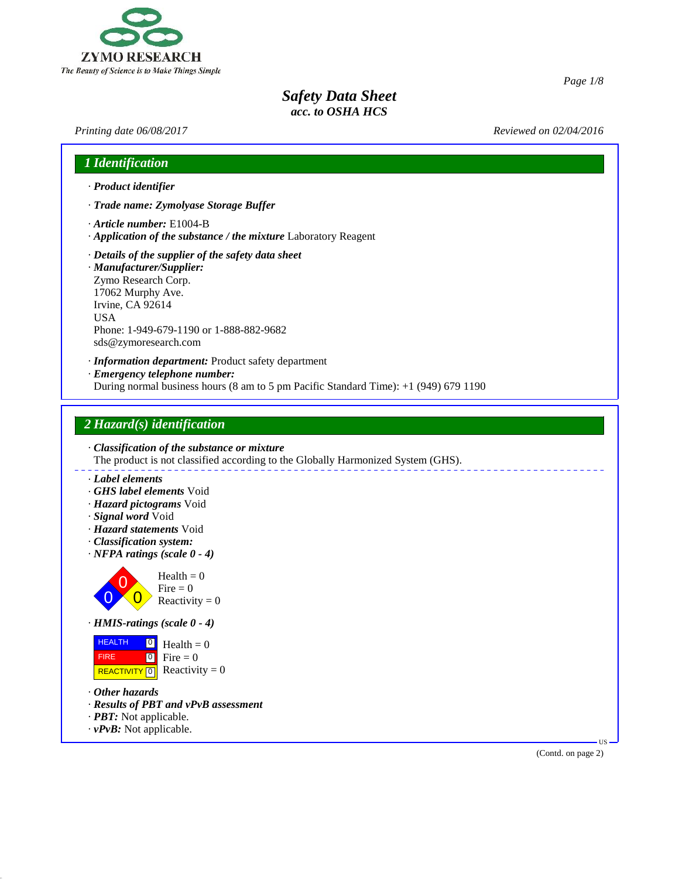

44.0



*Page 1/8*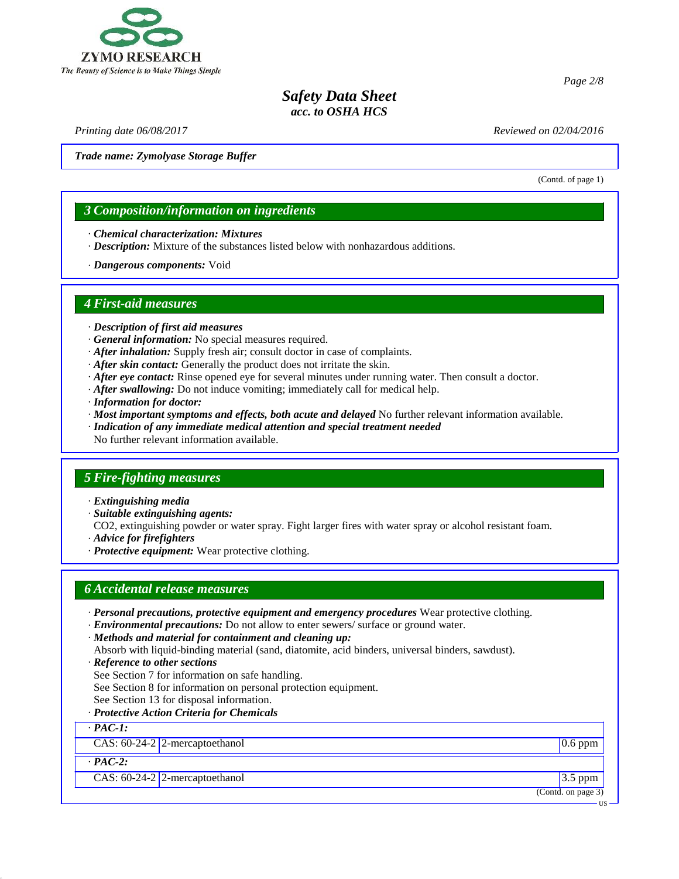

*Printing date 06/08/2017 Reviewed on 02/04/2016*

*Trade name: Zymolyase Storage Buffer*

(Contd. of page 1)

US

### *3 Composition/information on ingredients*

- · *Chemical characterization: Mixtures*
- · *Description:* Mixture of the substances listed below with nonhazardous additions.
- · *Dangerous components:* Void

#### *4 First-aid measures*

- · *Description of first aid measures*
- · *General information:* No special measures required.
- · *After inhalation:* Supply fresh air; consult doctor in case of complaints.
- · *After skin contact:* Generally the product does not irritate the skin.
- · *After eye contact:* Rinse opened eye for several minutes under running water. Then consult a doctor.
- · *After swallowing:* Do not induce vomiting; immediately call for medical help.
- · *Information for doctor:*
- · *Most important symptoms and effects, both acute and delayed* No further relevant information available.
- · *Indication of any immediate medical attention and special treatment needed*
- No further relevant information available.

### *5 Fire-fighting measures*

- · *Extinguishing media*
- · *Suitable extinguishing agents:*
- CO2, extinguishing powder or water spray. Fight larger fires with water spray or alcohol resistant foam.
- · *Advice for firefighters*
- · *Protective equipment:* Wear protective clothing.

### *6 Accidental release measures*

- · *Personal precautions, protective equipment and emergency procedures* Wear protective clothing.
- · *Environmental precautions:* Do not allow to enter sewers/ surface or ground water.
- · *Methods and material for containment and cleaning up:*
- Absorb with liquid-binding material (sand, diatomite, acid binders, universal binders, sawdust).
- · *Reference to other sections*

44.0

- See Section 7 for information on safe handling.
- See Section 8 for information on personal protection equipment.
- See Section 13 for disposal information.
- · *Protective Action Criteria for Chemicals*

· *PAC-1:* CAS: 60-24-2 2-mercaptoethanol 0.6 ppm · *PAC-2:* CAS: 60-24-2 2-mercaptoethanol 3.5 ppm (Contd. on page 3)

*Page 2/8*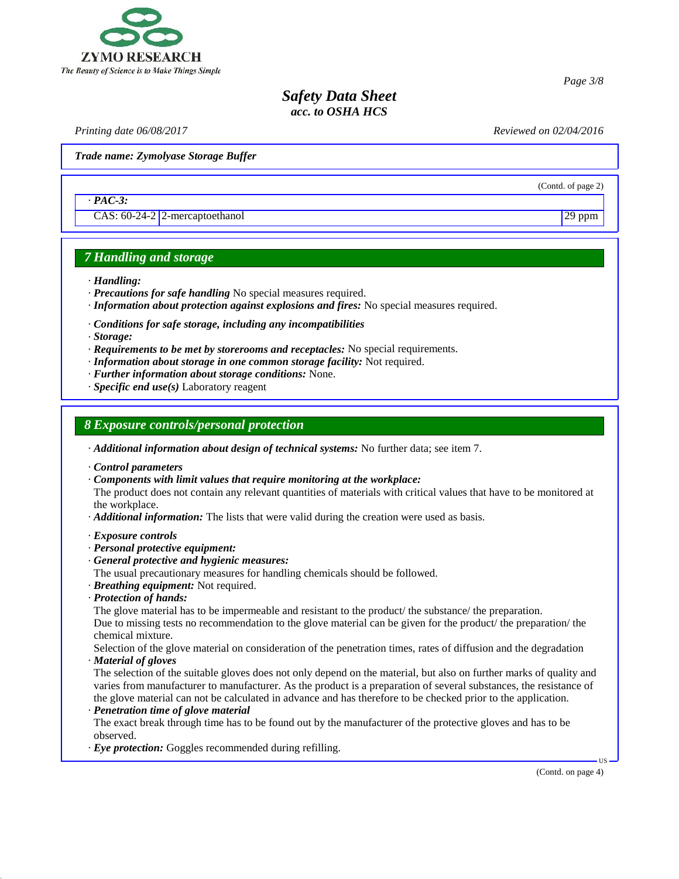

*Printing date 06/08/2017 Reviewed on 02/04/2016*

(Contd. of page 2)

#### *Trade name: Zymolyase Storage Buffer*

· *PAC-3:*

CAS: 60-24-2 2-mercaptoethanol 29 ppm

### *7 Handling and storage*

#### · *Handling:*

- · *Precautions for safe handling* No special measures required.
- · *Information about protection against explosions and fires:* No special measures required.
- · *Conditions for safe storage, including any incompatibilities*

· *Storage:*

- · *Requirements to be met by storerooms and receptacles:* No special requirements.
- · *Information about storage in one common storage facility:* Not required.
- · *Further information about storage conditions:* None.
- · *Specific end use(s)* Laboratory reagent

### *8 Exposure controls/personal protection*

- · *Additional information about design of technical systems:* No further data; see item 7.
- · *Control parameters*
- · *Components with limit values that require monitoring at the workplace:*

The product does not contain any relevant quantities of materials with critical values that have to be monitored at the workplace.

- · *Additional information:* The lists that were valid during the creation were used as basis.
- · *Exposure controls*
- · *Personal protective equipment:*
- · *General protective and hygienic measures:*

The usual precautionary measures for handling chemicals should be followed.

- · *Breathing equipment:* Not required.
- · *Protection of hands:*

44.0

The glove material has to be impermeable and resistant to the product/ the substance/ the preparation. Due to missing tests no recommendation to the glove material can be given for the product/ the preparation/ the chemical mixture.

Selection of the glove material on consideration of the penetration times, rates of diffusion and the degradation · *Material of gloves*

The selection of the suitable gloves does not only depend on the material, but also on further marks of quality and varies from manufacturer to manufacturer. As the product is a preparation of several substances, the resistance of the glove material can not be calculated in advance and has therefore to be checked prior to the application.

· *Penetration time of glove material*

The exact break through time has to be found out by the manufacturer of the protective gloves and has to be observed.

· *Eye protection:* Goggles recommended during refilling.

(Contd. on page 4)

 $\overline{\mathbf{u}}$   $\overline{\mathbf{v}}$ 

*Page 3/8*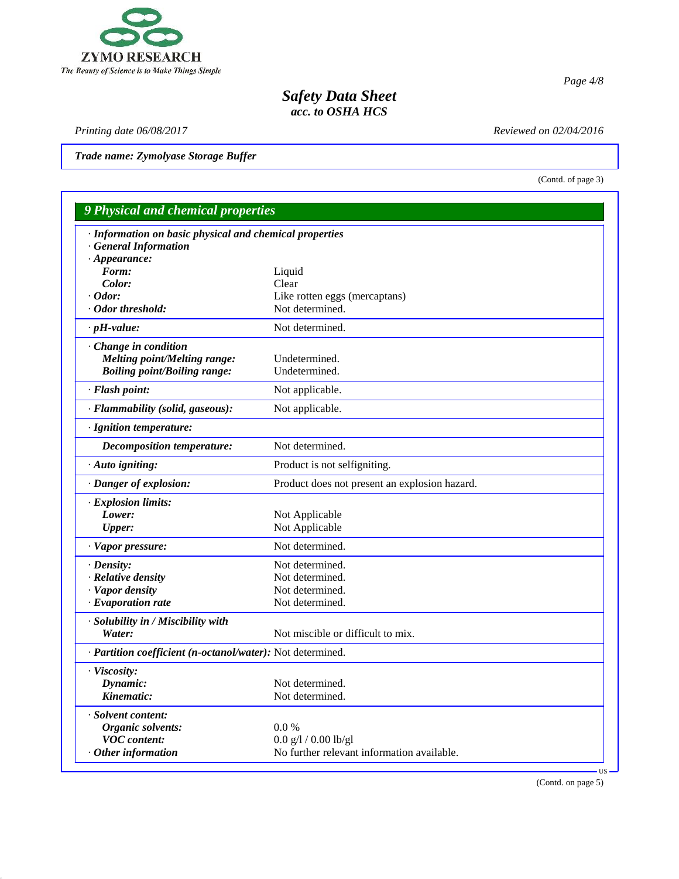

*Printing date 06/08/2017 Reviewed on 02/04/2016*

44.0

*Trade name: Zymolyase Storage Buffer*

(Contd. of page 3)

| <b>9 Physical and chemical properties</b>                                                               |                                                            |  |
|---------------------------------------------------------------------------------------------------------|------------------------------------------------------------|--|
| · Information on basic physical and chemical properties<br>· General Information<br>$\cdot$ Appearance: |                                                            |  |
| Form:                                                                                                   | Liquid                                                     |  |
| Color:                                                                                                  | Clear                                                      |  |
| $\cdot$ Odor:                                                                                           | Like rotten eggs (mercaptans)                              |  |
| · Odor threshold:                                                                                       | Not determined.                                            |  |
| $\cdot$ pH-value:                                                                                       | Not determined.                                            |  |
| · Change in condition                                                                                   |                                                            |  |
| <b>Melting point/Melting range:</b>                                                                     | Undetermined.                                              |  |
| <b>Boiling point/Boiling range:</b>                                                                     | Undetermined.                                              |  |
| · Flash point:                                                                                          | Not applicable.                                            |  |
| · Flammability (solid, gaseous):                                                                        | Not applicable.                                            |  |
| · Ignition temperature:                                                                                 |                                                            |  |
| <b>Decomposition temperature:</b>                                                                       | Not determined.                                            |  |
| · Auto igniting:                                                                                        | Product is not selfigniting.                               |  |
| · Danger of explosion:                                                                                  | Product does not present an explosion hazard.              |  |
| · Explosion limits:                                                                                     |                                                            |  |
| Lower:                                                                                                  | Not Applicable                                             |  |
| <b>Upper:</b>                                                                                           | Not Applicable                                             |  |
| · Vapor pressure:                                                                                       | Not determined.                                            |  |
| $\cdot$ Density:                                                                                        | Not determined.                                            |  |
| · Relative density                                                                                      | Not determined.                                            |  |
| · Vapor density                                                                                         | Not determined.                                            |  |
| $\cdot$ Evaporation rate                                                                                | Not determined.                                            |  |
| · Solubility in / Miscibility with<br>Water:                                                            | Not miscible or difficult to mix.                          |  |
|                                                                                                         | · Partition coefficient (n-octanol/water): Not determined. |  |
| · Viscosity:                                                                                            |                                                            |  |
| Dynamic:                                                                                                | Not determined.                                            |  |
| Kinematic:                                                                                              | Not determined.                                            |  |
| · Solvent content:                                                                                      |                                                            |  |
| Organic solvents:                                                                                       | $0.0\%$                                                    |  |
| <b>VOC</b> content:                                                                                     | $0.0$ g/l / $0.00$ lb/gl                                   |  |
| $·$ Other information                                                                                   | No further relevant information available.                 |  |

(Contd. on page 5)

US

*Page 4/8*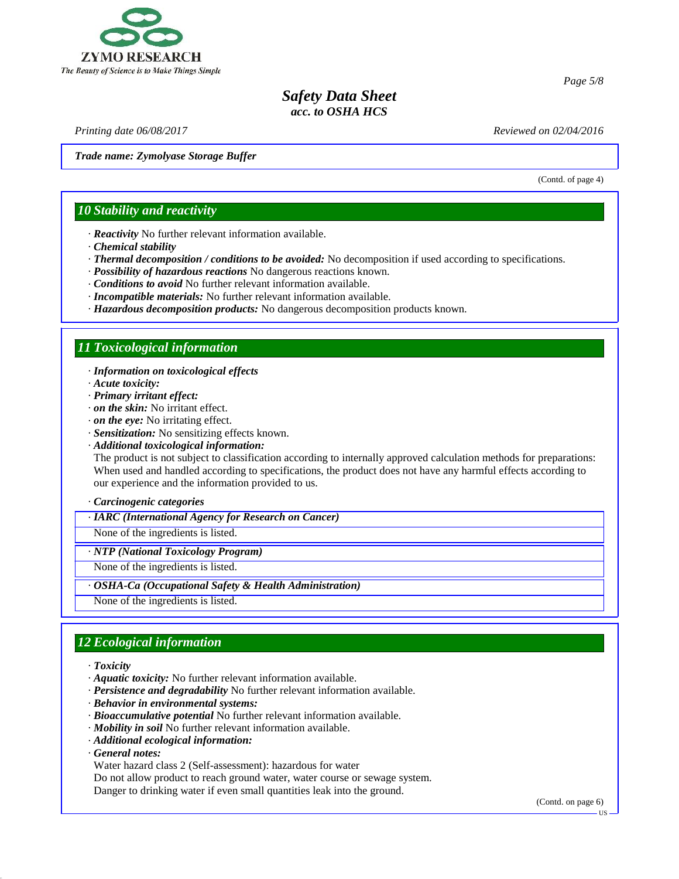

*Printing date 06/08/2017 Reviewed on 02/04/2016*

*Trade name: Zymolyase Storage Buffer*

(Contd. of page 4)

*Page 5/8*

### *10 Stability and reactivity*

- · *Reactivity* No further relevant information available.
- · *Chemical stability*
- · *Thermal decomposition / conditions to be avoided:* No decomposition if used according to specifications.
- · *Possibility of hazardous reactions* No dangerous reactions known.
- · *Conditions to avoid* No further relevant information available.
- · *Incompatible materials:* No further relevant information available.
- · *Hazardous decomposition products:* No dangerous decomposition products known.

### *11 Toxicological information*

- · *Information on toxicological effects*
- · *Acute toxicity:*
- · *Primary irritant effect:*
- · *on the skin:* No irritant effect.
- · *on the eye:* No irritating effect.
- · *Sensitization:* No sensitizing effects known.
- · *Additional toxicological information:*

The product is not subject to classification according to internally approved calculation methods for preparations: When used and handled according to specifications, the product does not have any harmful effects according to our experience and the information provided to us.

#### · *Carcinogenic categories*

· *IARC (International Agency for Research on Cancer)*

None of the ingredients is listed.

· *NTP (National Toxicology Program)*

None of the ingredients is listed.

· *OSHA-Ca (Occupational Safety & Health Administration)*

None of the ingredients is listed.

# *12 Ecological information*

- · *Toxicity*
- · *Aquatic toxicity:* No further relevant information available.
- · *Persistence and degradability* No further relevant information available.
- · *Behavior in environmental systems:*
- · *Bioaccumulative potential* No further relevant information available.
- · *Mobility in soil* No further relevant information available.
- · *Additional ecological information:*
- · *General notes:*

44.0

- Water hazard class 2 (Self-assessment): hazardous for water
- Do not allow product to reach ground water, water course or sewage system.

Danger to drinking water if even small quantities leak into the ground.

(Contd. on page 6)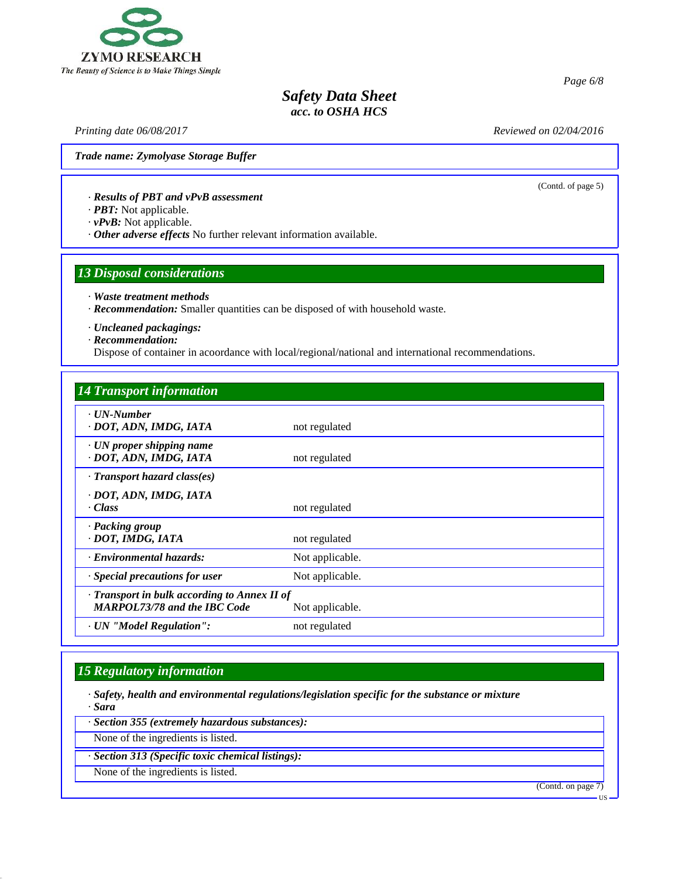

*Printing date 06/08/2017 Reviewed on 02/04/2016*

(Contd. of page 5)

*Trade name: Zymolyase Storage Buffer*

· *Results of PBT and vPvB assessment*

· *PBT:* Not applicable.

· *vPvB:* Not applicable.

· *Other adverse effects* No further relevant information available.

### *13 Disposal considerations*

· *Waste treatment methods*

· *Recommendation:* Smaller quantities can be disposed of with household waste.

· *Uncleaned packagings:*

· *Recommendation:*

Dispose of container in acoordance with local/regional/national and international recommendations.

### *14 Transport information*

| $\cdot$ UN-Number<br>· DOT, ADN, IMDG, IATA                                         | not regulated   |
|-------------------------------------------------------------------------------------|-----------------|
| $\cdot$ UN proper shipping name<br>· DOT, ADN, IMDG, IATA                           | not regulated   |
| $\cdot$ Transport hazard class(es)                                                  |                 |
| · DOT, ADN, IMDG, IATA<br>Class                                                     | not regulated   |
| · Packing group<br>DOT, IMDG, IATA                                                  | not regulated   |
| · Environmental hazards:                                                            | Not applicable. |
| · Special precautions for user                                                      | Not applicable. |
| · Transport in bulk according to Annex II of<br><b>MARPOL73/78 and the IBC Code</b> | Not applicable. |
| · UN "Model Regulation":                                                            | not regulated   |

# *15 Regulatory information*

· *Safety, health and environmental regulations/legislation specific for the substance or mixture* · *Sara*

· *Section 355 (extremely hazardous substances):*

None of the ingredients is listed.

· *Section 313 (Specific toxic chemical listings):*

None of the ingredients is listed.

44.0

(Contd. on page 7)

US

*Page 6/8*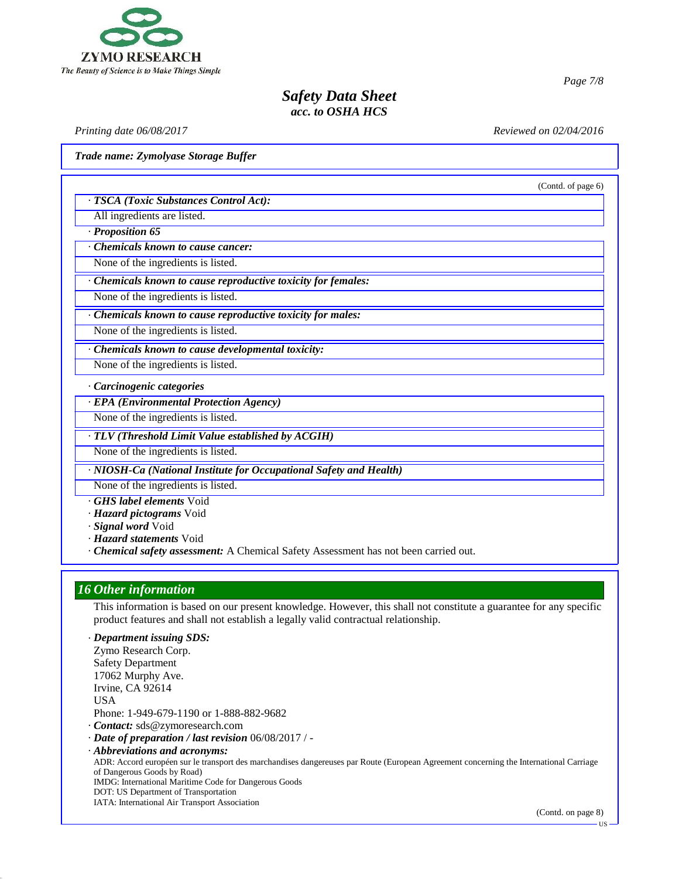

*Printing date 06/08/2017 Reviewed on 02/04/2016*

(Contd. of page 6)

*Page 7/8*

*Trade name: Zymolyase Storage Buffer*

| · TSCA (Toxic Substances Control Act): |  |
|----------------------------------------|--|
|----------------------------------------|--|

All ingredients are listed.

· *Proposition 65*

· *Chemicals known to cause cancer:*

None of the ingredients is listed.

· *Chemicals known to cause reproductive toxicity for females:*

None of the ingredients is listed.

· *Chemicals known to cause reproductive toxicity for males:*

None of the ingredients is listed.

· *Chemicals known to cause developmental toxicity:*

None of the ingredients is listed.

· *Carcinogenic categories*

· *EPA (Environmental Protection Agency)*

None of the ingredients is listed.

· *TLV (Threshold Limit Value established by ACGIH)*

None of the ingredients is listed.

· *NIOSH-Ca (National Institute for Occupational Safety and Health)*

None of the ingredients is listed.

· *GHS label elements* Void

· *Hazard pictograms* Void

· *Signal word* Void

· *Hazard statements* Void

· *Chemical safety assessment:* A Chemical Safety Assessment has not been carried out.

### *16 Other information*

44.0

This information is based on our present knowledge. However, this shall not constitute a guarantee for any specific product features and shall not establish a legally valid contractual relationship.

· *Department issuing SDS:*

Zymo Research Corp. Safety Department 17062 Murphy Ave. Irvine, CA 92614 **IISA** Phone: 1-949-679-1190 or 1-888-882-9682

· *Contact:* sds@zymoresearch.com

· *Date of preparation / last revision* 06/08/2017 / -

· *Abbreviations and acronyms:* ADR: Accord européen sur le transport des marchandises dangereuses par Route (European Agreement concerning the International Carriage of Dangerous Goods by Road) IMDG: International Maritime Code for Dangerous Goods DOT: US Department of Transportation IATA: International Air Transport Association

(Contd. on page 8)